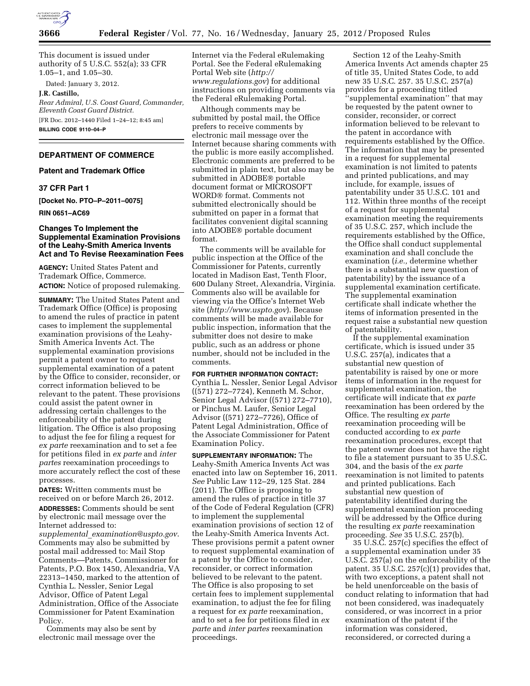

This document is issued under authority of 5 U.S.C. 552(a); 33 CFR 1.05–1, and 1.05–30.

Dated: January 3, 2012.

**J.R. Castillo,** 

*Rear Admiral, U.S. Coast Guard, Commander, Eleventh Coast Guard District.*  [FR Doc. 2012–1440 Filed 1–24–12; 8:45 am] **BILLING CODE 9110–04–P** 

### **DEPARTMENT OF COMMERCE**

### **Patent and Trademark Office**

## **37 CFR Part 1**

**[Docket No. PTO–P–2011–0075]** 

# **RIN 0651–AC69**

## **Changes To Implement the Supplemental Examination Provisions of the Leahy-Smith America Invents Act and To Revise Reexamination Fees**

**AGENCY:** United States Patent and Trademark Office, Commerce. **ACTION:** Notice of proposed rulemaking.

**SUMMARY:** The United States Patent and Trademark Office (Office) is proposing to amend the rules of practice in patent cases to implement the supplemental examination provisions of the Leahy-Smith America Invents Act. The supplemental examination provisions permit a patent owner to request supplemental examination of a patent by the Office to consider, reconsider, or correct information believed to be relevant to the patent. These provisions could assist the patent owner in addressing certain challenges to the enforceability of the patent during litigation. The Office is also proposing to adjust the fee for filing a request for *ex parte* reexamination and to set a fee for petitions filed in *ex parte* and *inter partes* reexamination proceedings to more accurately reflect the cost of these processes.

**DATES:** Written comments must be received on or before March 26, 2012. **ADDRESSES:** Comments should be sent by electronic mail message over the Internet addressed to: *supplemental*\_*[examination@uspto.gov](mailto:supplemental_examination@uspto.gov)*. Comments may also be submitted by postal mail addressed to: Mail Stop Comments—Patents, Commissioner for Patents, P.O. Box 1450, Alexandria, VA 22313–1450, marked to the attention of Cynthia L. Nessler, Senior Legal Advisor, Office of Patent Legal Administration, Office of the Associate Commissioner for Patent Examination Policy.

Comments may also be sent by electronic mail message over the

Internet via the Federal eRulemaking Portal. See the Federal eRulemaking Portal Web site (*[http://](http://www.regulations.gov) [www.regulations.gov](http://www.regulations.gov)*) for additional instructions on providing comments via the Federal eRulemaking Portal.

Although comments may be submitted by postal mail, the Office prefers to receive comments by electronic mail message over the Internet because sharing comments with the public is more easily accomplished. Electronic comments are preferred to be submitted in plain text, but also may be submitted in ADOBE® portable document format or MICROSOFT WORD® format. Comments not submitted electronically should be submitted on paper in a format that facilitates convenient digital scanning into ADOBE® portable document format.

The comments will be available for public inspection at the Office of the Commissioner for Patents, currently located in Madison East, Tenth Floor, 600 Dulany Street, Alexandria, Virginia. Comments also will be available for viewing via the Office's Internet Web site (*<http://www.uspto.gov>*). Because comments will be made available for public inspection, information that the submitter does not desire to make public, such as an address or phone number, should not be included in the comments.

### **FOR FURTHER INFORMATION CONTACT:**

Cynthia L. Nessler, Senior Legal Advisor ((571) 272–7724), Kenneth M. Schor, Senior Legal Advisor ((571) 272–7710), or Pinchus M. Laufer, Senior Legal Advisor ((571) 272–7726), Office of Patent Legal Administration, Office of the Associate Commissioner for Patent Examination Policy.

**SUPPLEMENTARY INFORMATION:** The Leahy-Smith America Invents Act was enacted into law on September 16, 2011. *See* Public Law 112–29, 125 Stat. 284 (2011). The Office is proposing to amend the rules of practice in title 37 of the Code of Federal Regulation (CFR) to implement the supplemental examination provisions of section 12 of the Leahy-Smith America Invents Act. These provisions permit a patent owner to request supplemental examination of a patent by the Office to consider, reconsider, or correct information believed to be relevant to the patent. The Office is also proposing to set certain fees to implement supplemental examination, to adjust the fee for filing a request for *ex parte* reexamination, and to set a fee for petitions filed in *ex parte* and *inter partes* reexamination proceedings.

Section 12 of the Leahy-Smith America Invents Act amends chapter 25 of title 35, United States Code, to add new 35 U.S.C. 257. 35 U.S.C. 257(a) provides for a proceeding titled ''supplemental examination'' that may be requested by the patent owner to consider, reconsider, or correct information believed to be relevant to the patent in accordance with requirements established by the Office. The information that may be presented in a request for supplemental examination is not limited to patents and printed publications, and may include, for example, issues of patentability under 35 U.S.C. 101 and 112. Within three months of the receipt of a request for supplemental examination meeting the requirements of 35 U.S.C. 257, which include the requirements established by the Office, the Office shall conduct supplemental examination and shall conclude the examination (*i.e.,* determine whether there is a substantial new question of patentability) by the issuance of a supplemental examination certificate. The supplemental examination certificate shall indicate whether the items of information presented in the request raise a substantial new question of patentability.

If the supplemental examination certificate, which is issued under 35 U.S.C. 257(a), indicates that a substantial new question of patentability is raised by one or more items of information in the request for supplemental examination, the certificate will indicate that *ex parte*  reexamination has been ordered by the Office. The resulting *ex parte*  reexamination proceeding will be conducted according to *ex parte*  reexamination procedures, except that the patent owner does not have the right to file a statement pursuant to 35 U.S.C. 304, and the basis of the *ex parte*  reexamination is not limited to patents and printed publications. Each substantial new question of patentability identified during the supplemental examination proceeding will be addressed by the Office during the resulting *ex parte* reexamination proceeding. *See* 35 U.S.C. 257(b).

35 U.S.C. 257(c) specifies the effect of a supplemental examination under 35 U.S.C. 257(a) on the enforceability of the patent. 35 U.S.C. 257(c)(1) provides that, with two exceptions, a patent shall not be held unenforceable on the basis of conduct relating to information that had not been considered, was inadequately considered, or was incorrect in a prior examination of the patent if the information was considered, reconsidered, or corrected during a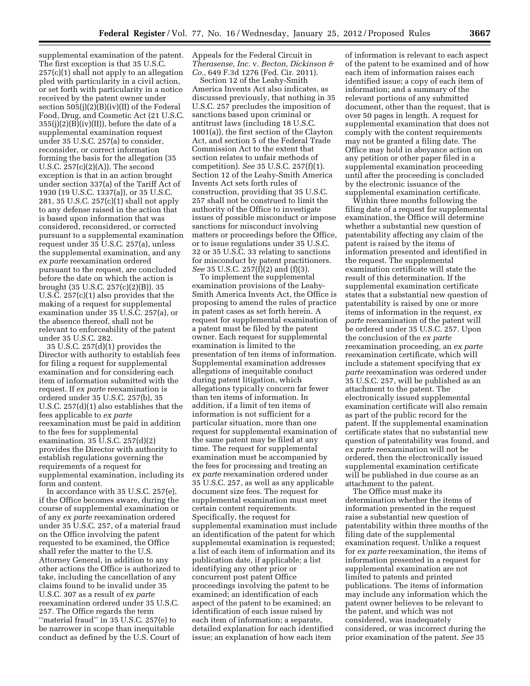supplemental examination of the patent. The first exception is that 35 U.S.C. 257(c)(1) shall not apply to an allegation pled with particularity in a civil action, or set forth with particularity in a notice received by the patent owner under section 505(j)(2)(B)(iv)(II) of the Federal Food, Drug, and Cosmetic Act (21 U.S.C.  $355(j)(2)(B)(iv)(II)$ , before the date of a supplemental examination request under 35 U.S.C. 257(a) to consider, reconsider, or correct information forming the basis for the allegation (35 U.S.C. 257(c)(2)(A)). The second exception is that in an action brought under section 337(a) of the Tariff Act of 1930 (19 U.S.C. 1337(a)), or 35 U.S.C. 281, 35 U.S.C. 257(c)(1) shall not apply to any defense raised in the action that is based upon information that was considered, reconsidered, or corrected pursuant to a supplemental examination request under 35 U.S.C. 257(a), unless the supplemental examination, and any *ex parte* reexamination ordered pursuant to the request, are concluded before the date on which the action is brought (35 U.S.C. 257(c)(2)(B)). 35 U.S.C. 257(c)(1) also provides that the making of a request for supplemental examination under 35 U.S.C. 257(a), or the absence thereof, shall not be relevant to enforceability of the patent under 35 U.S.C. 282.

35 U.S.C. 257(d)(1) provides the Director with authority to establish fees for filing a request for supplemental examination and for considering each item of information submitted with the request. If *ex parte* reexamination is ordered under 35 U.S.C. 257(b), 35 U.S.C. 257(d)(1) also establishes that the fees applicable to *ex parte*  reexamination must be paid in addition to the fees for supplemental examination. 35 U.S.C. 257(d)(2) provides the Director with authority to establish regulations governing the requirements of a request for supplemental examination, including its form and content.

In accordance with 35 U.S.C. 257(e), if the Office becomes aware, during the course of supplemental examination or of any *ex parte* reexamination ordered under 35 U.S.C. 257, of a material fraud on the Office involving the patent requested to be examined, the Office shall refer the matter to the U.S. Attorney General, in addition to any other actions the Office is authorized to take, including the cancellation of any claims found to be invalid under 35 U.S.C. 307 as a result of *ex parte*  reexamination ordered under 35 U.S.C. 257. The Office regards the term "material fraud" in 35 U.S.C. 257(e) to be narrower in scope than inequitable conduct as defined by the U.S. Court of

Appeals for the Federal Circuit in *Therasense, Inc.* v. *Becton, Dickinson & Co.,* 649 F.3d 1276 (Fed. Cir. 2011).

Section 12 of the Leahy-Smith America Invents Act also indicates, as discussed previously, that nothing in 35 U.S.C. 257 precludes the imposition of sanctions based upon criminal or antitrust laws (including 18 U.S.C. 1001(a)), the first section of the Clayton Act, and section 5 of the Federal Trade Commission Act to the extent that section relates to unfair methods of competition). *See* 35 U.S.C. 257(f)(1). Section 12 of the Leahy-Smith America Invents Act sets forth rules of construction, providing that 35 U.S.C. 257 shall not be construed to limit the authority of the Office to investigate issues of possible misconduct or impose sanctions for misconduct involving matters or proceedings before the Office, or to issue regulations under 35 U.S.C. 32 or 35 U.S.C. 33 relating to sanctions for misconduct by patent practitioners. *See* 35 U.S.C. 257(f)(2) and (f)(3).

To implement the supplemental examination provisions of the Leahy-Smith America Invents Act, the Office is proposing to amend the rules of practice in patent cases as set forth herein. A request for supplemental examination of a patent must be filed by the patent owner. Each request for supplemental examination is limited to the presentation of ten items of information. Supplemental examination addresses allegations of inequitable conduct during patent litigation, which allegations typically concern far fewer than ten items of information. In addition, if a limit of ten items of information is not sufficient for a particular situation, more than one request for supplemental examination of the same patent may be filed at any time. The request for supplemental examination must be accompanied by the fees for processing and treating an *ex parte* reexamination ordered under 35 U.S.C. 257, as well as any applicable document size fees. The request for supplemental examination must meet certain content requirements. Specifically, the request for supplemental examination must include an identification of the patent for which supplemental examination is requested; a list of each item of information and its publication date, if applicable; a list identifying any other prior or concurrent post patent Office proceedings involving the patent to be examined; an identification of each aspect of the patent to be examined; an identification of each issue raised by each item of information; a separate, detailed explanation for each identified issue; an explanation of how each item

of information is relevant to each aspect of the patent to be examined and of how each item of information raises each identified issue; a copy of each item of information; and a summary of the relevant portions of any submitted document, other than the request, that is over 50 pages in length. A request for supplemental examination that does not comply with the content requirements may not be granted a filing date. The Office may hold in abeyance action on any petition or other paper filed in a supplemental examination proceeding until after the proceeding is concluded by the electronic issuance of the supplemental examination certificate.

Within three months following the filing date of a request for supplemental examination, the Office will determine whether a substantial new question of patentability affecting any claim of the patent is raised by the items of information presented and identified in the request. The supplemental examination certificate will state the result of this determination. If the supplemental examination certificate states that a substantial new question of patentability is raised by one or more items of information in the request, *ex parte* reexamination of the patent will be ordered under 35 U.S.C. 257. Upon the conclusion of the *ex parte*  reexamination proceeding, an *ex parte*  reexamination certificate, which will include a statement specifying that *ex parte* reexamination was ordered under 35 U.S.C. 257, will be published as an attachment to the patent. The electronically issued supplemental examination certificate will also remain as part of the public record for the patent. If the supplemental examination certificate states that no substantial new question of patentability was found, and *ex parte* reexamination will not be ordered, then the electronically issued supplemental examination certificate will be published in due course as an attachment to the patent.

The Office must make its determination whether the items of information presented in the request raise a substantial new question of patentability within three months of the filing date of the supplemental examination request. Unlike a request for *ex parte* reexamination, the items of information presented in a request for supplemental examination are not limited to patents and printed publications. The items of information may include any information which the patent owner believes to be relevant to the patent, and which was not considered, was inadequately considered, or was incorrect during the prior examination of the patent. *See* 35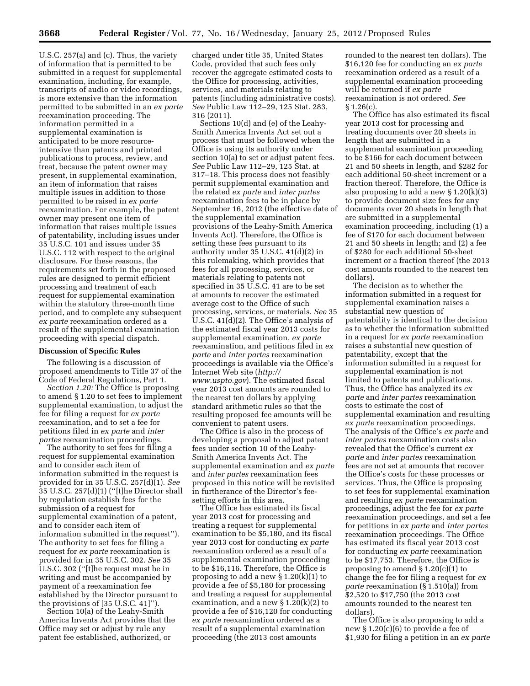U.S.C. 257(a) and (c). Thus, the variety of information that is permitted to be submitted in a request for supplemental examination, including, for example, transcripts of audio or video recordings, is more extensive than the information permitted to be submitted in an *ex parte*  reexamination proceeding. The information permitted in a supplemental examination is anticipated to be more resourceintensive than patents and printed publications to process, review, and treat, because the patent owner may present, in supplemental examination, an item of information that raises multiple issues in addition to those permitted to be raised in *ex parte*  reexamination. For example, the patent owner may present one item of information that raises multiple issues of patentability, including issues under 35 U.S.C. 101 and issues under 35 U.S.C. 112 with respect to the original disclosure. For these reasons, the requirements set forth in the proposed rules are designed to permit efficient processing and treatment of each request for supplemental examination within the statutory three-month time period, and to complete any subsequent *ex parte* reexamination ordered as a result of the supplemental examination proceeding with special dispatch.

#### **Discussion of Specific Rules**

The following is a discussion of proposed amendments to Title 37 of the Code of Federal Regulations, Part 1.

*Section 1.20:* The Office is proposing to amend § 1.20 to set fees to implement supplemental examination, to adjust the fee for filing a request for *ex parte*  reexamination, and to set a fee for petitions filed in *ex parte* and *inter partes* reexamination proceedings.

The authority to set fees for filing a request for supplemental examination and to consider each item of information submitted in the request is provided for in 35 U.S.C. 257(d)(1). *See*  35 U.S.C. 257(d)(1) (''[t]he Director shall by regulation establish fees for the submission of a request for supplemental examination of a patent, and to consider each item of information submitted in the request''). The authority to set fees for filing a request for *ex parte* reexamination is provided for in 35 U.S.C. 302. *See* 35 U.S.C. 302 (''[t]he request must be in writing and must be accompanied by payment of a reexamination fee established by the Director pursuant to the provisions of [35 U.S.C. 41]'').

Section 10(a) of the Leahy-Smith America Invents Act provides that the Office may set or adjust by rule any patent fee established, authorized, or

charged under title 35, United States Code, provided that such fees only recover the aggregate estimated costs to the Office for processing, activities, services, and materials relating to patents (including administrative costs). *See* Public Law 112–29, 125 Stat. 283, 316 (2011).

Sections 10(d) and (e) of the Leahy-Smith America Invents Act set out a process that must be followed when the Office is using its authority under section 10(a) to set or adjust patent fees. *See* Public Law 112–29, 125 Stat. at 317–18. This process does not feasibly permit supplemental examination and the related *ex parte* and *inter partes*  reexamination fees to be in place by September 16, 2012 (the effective date of the supplemental examination provisions of the Leahy-Smith America Invents Act). Therefore, the Office is setting these fees pursuant to its authority under 35 U.S.C. 41(d)(2) in this rulemaking, which provides that fees for all processing, services, or materials relating to patents not specified in 35 U.S.C. 41 are to be set at amounts to recover the estimated average cost to the Office of such processing, services, or materials. *See* 35 U.S.C. 41(d)(2). The Office's analysis of the estimated fiscal year 2013 costs for supplemental examination, *ex parte*  reexamination, and petitions filed in *ex parte* and *inter partes* reexamination proceedings is available via the Office's Internet Web site (*[http://](http://www.uspto.gov) [www.uspto.gov](http://www.uspto.gov)*). The estimated fiscal year 2013 cost amounts are rounded to the nearest ten dollars by applying standard arithmetic rules so that the resulting proposed fee amounts will be convenient to patent users.

The Office is also in the process of developing a proposal to adjust patent fees under section 10 of the Leahy-Smith America Invents Act. The supplemental examination and *ex parte*  and *inter partes* reexamination fees proposed in this notice will be revisited in furtherance of the Director's feesetting efforts in this area.

The Office has estimated its fiscal year 2013 cost for processing and treating a request for supplemental examination to be \$5,180, and its fiscal year 2013 cost for conducting *ex parte*  reexamination ordered as a result of a supplemental examination proceeding to be \$16,116. Therefore, the Office is proposing to add a new  $\S 1.20(k)(1)$  to provide a fee of \$5,180 for processing and treating a request for supplemental examination, and a new § 1.20(k)(2) to provide a fee of \$16,120 for conducting *ex parte* reexamination ordered as a result of a supplemental examination proceeding (the 2013 cost amounts

rounded to the nearest ten dollars). The \$16,120 fee for conducting an *ex parte*  reexamination ordered as a result of a supplemental examination proceeding will be returned if *ex parte*  reexamination is not ordered. *See*   $§ 1.26(c).$ 

The Office has also estimated its fiscal year 2013 cost for processing and treating documents over 20 sheets in length that are submitted in a supplemental examination proceeding to be \$166 for each document between 21 and 50 sheets in length, and \$282 for each additional 50-sheet increment or a fraction thereof. Therefore, the Office is also proposing to add a new  $\S 1.20(k)(3)$ to provide document size fees for any documents over 20 sheets in length that are submitted in a supplemental examination proceeding, including (1) a fee of \$170 for each document between 21 and 50 sheets in length; and (2) a fee of \$280 for each additional 50-sheet increment or a fraction thereof (the 2013 cost amounts rounded to the nearest ten dollars).

The decision as to whether the information submitted in a request for supplemental examination raises a substantial new question of patentability is identical to the decision as to whether the information submitted in a request for *ex parte* reexamination raises a substantial new question of patentability, except that the information submitted in a request for supplemental examination is not limited to patents and publications. Thus, the Office has analyzed its *ex parte* and *inter partes* reexamination costs to estimate the cost of supplemental examination and resulting *ex parte* reexamination proceedings. The analysis of the Office's *ex parte* and *inter partes* reexamination costs also revealed that the Office's current *ex parte* and *inter partes* reexamination fees are not set at amounts that recover the Office's costs for these processes or services. Thus, the Office is proposing to set fees for supplemental examination and resulting *ex parte* reexamination proceedings, adjust the fee for *ex parte*  reexamination proceedings, and set a fee for petitions in *ex parte* and *inter partes*  reexamination proceedings. The Office has estimated its fiscal year 2013 cost for conducting *ex parte* reexamination to be \$17,753. Therefore, the Office is proposing to amend  $\S 1.20(c)(1)$  to change the fee for filing a request for *ex parte* reexamination (§ 1.510(a)) from \$2,520 to \$17,750 (the 2013 cost amounts rounded to the nearest ten dollars).

The Office is also proposing to add a new § 1.20(c)(6) to provide a fee of \$1,930 for filing a petition in an *ex parte*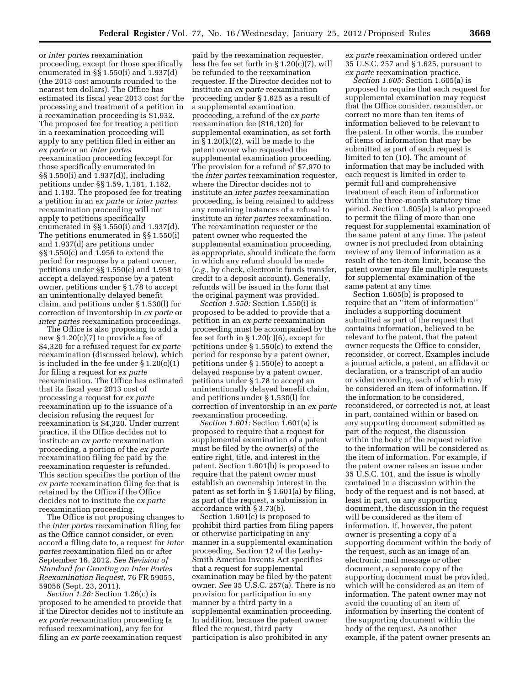or *inter partes* reexamination proceeding, except for those specifically enumerated in §§ 1.550(i) and 1.937(d) (the 2013 cost amounts rounded to the nearest ten dollars). The Office has estimated its fiscal year 2013 cost for the processing and treatment of a petition in a reexamination proceeding is \$1,932. The proposed fee for treating a petition in a reexamination proceeding will apply to any petition filed in either an *ex parte* or an *inter partes*  reexamination proceeding (except for those specifically enumerated in §§ 1.550(i) and 1.937(d)), including petitions under §§ 1.59, 1.181, 1.182, and 1.183. The proposed fee for treating a petition in an *ex parte* or *inter partes*  reexamination proceeding will not apply to petitions specifically enumerated in §§ 1.550(i) and 1.937(d). The petitions enumerated in §§ 1.550(i) and 1.937(d) are petitions under §§ 1.550(c) and 1.956 to extend the period for response by a patent owner, petitions under §§ 1.550(e) and 1.958 to accept a delayed response by a patent owner, petitions under § 1.78 to accept an unintentionally delayed benefit claim, and petitions under § 1.530(l) for correction of inventorship in *ex parte* or *inter partes* reexamination proceedings.

The Office is also proposing to add a new § 1.20(c)(7) to provide a fee of \$4,320 for a refused request for *ex parte*  reexamination (discussed below), which is included in the fee under § 1.20(c)(1) for filing a request for *ex parte*  reexamination. The Office has estimated that its fiscal year 2013 cost of processing a request for *ex parte*  reexamination up to the issuance of a decision refusing the request for reexamination is \$4,320. Under current practice, if the Office decides not to institute an *ex parte* reexamination proceeding, a portion of the *ex parte*  reexamination filing fee paid by the reexamination requester is refunded. This section specifies the portion of the *ex parte* reexamination filing fee that is retained by the Office if the Office decides not to institute the *ex parte*  reexamination proceeding.

The Office is not proposing changes to the *inter partes* reexamination filing fee as the Office cannot consider, or even accord a filing date to, a request for *inter partes* reexamination filed on or after September 16, 2012. *See Revision of Standard for Granting an Inter Partes Reexamination Request,* 76 FR 59055, 59056 (Sept. 23, 2011).

*Section 1.26:* Section 1.26(c) is proposed to be amended to provide that if the Director decides not to institute an *ex parte* reexamination proceeding (a refused reexamination), any fee for filing an *ex parte* reexamination request

paid by the reexamination requester, less the fee set forth in § 1.20(c)(7), will be refunded to the reexamination requester. If the Director decides not to institute an *ex parte* reexamination proceeding under § 1.625 as a result of a supplemental examination proceeding, a refund of the *ex parte*  reexamination fee (\$16,120) for supplemental examination, as set forth in  $\S 1.20(k)(2)$ , will be made to the patent owner who requested the supplemental examination proceeding. The provision for a refund of \$7,970 to the *inter partes* reexamination requester, where the Director decides not to institute an *inter partes* reexamination proceeding, is being retained to address any remaining instances of a refusal to institute an *inter partes* reexamination. The reexamination requester or the patent owner who requested the supplemental examination proceeding, as appropriate, should indicate the form in which any refund should be made (*e.g.,* by check, electronic funds transfer, credit to a deposit account). Generally, refunds will be issued in the form that the original payment was provided.

*Section 1.550:* Section 1.550(i) is proposed to be added to provide that a petition in an *ex parte* reexamination proceeding must be accompanied by the fee set forth in  $\S 1.20(c)(6)$ , except for petitions under § 1.550(c) to extend the period for response by a patent owner, petitions under § 1.550(e) to accept a delayed response by a patent owner, petitions under § 1.78 to accept an unintentionally delayed benefit claim, and petitions under § 1.530(l) for correction of inventorship in an *ex parte*  reexamination proceeding.

*Section 1.601:* Section 1.601(a) is proposed to require that a request for supplemental examination of a patent must be filed by the owner(s) of the entire right, title, and interest in the patent. Section 1.601(b) is proposed to require that the patent owner must establish an ownership interest in the patent as set forth in § 1.601(a) by filing, as part of the request, a submission in accordance with § 3.73(b).

Section 1.601(c) is proposed to prohibit third parties from filing papers or otherwise participating in any manner in a supplemental examination proceeding. Section 12 of the Leahy-Smith America Invents Act specifies that a request for supplemental examination may be filed by the patent owner. *See* 35 U.S.C. 257(a). There is no provision for participation in any manner by a third party in a supplemental examination proceeding. In addition, because the patent owner filed the request, third party participation is also prohibited in any

*ex parte* reexamination ordered under 35 U.S.C. 257 and § 1.625, pursuant to *ex parte* reexamination practice.

*Section 1.605:* Section 1.605(a) is proposed to require that each request for supplemental examination may request that the Office consider, reconsider, or correct no more than ten items of information believed to be relevant to the patent. In other words, the number of items of information that may be submitted as part of each request is limited to ten (10). The amount of information that may be included with each request is limited in order to permit full and comprehensive treatment of each item of information within the three-month statutory time period. Section 1.605(a) is also proposed to permit the filing of more than one request for supplemental examination of the same patent at any time. The patent owner is not precluded from obtaining review of any item of information as a result of the ten-item limit, because the patent owner may file multiple requests for supplemental examination of the same patent at any time.

Section 1.605(b) is proposed to require that an ''item of information'' includes a supporting document submitted as part of the request that contains information, believed to be relevant to the patent, that the patent owner requests the Office to consider, reconsider, or correct. Examples include a journal article, a patent, an affidavit or declaration, or a transcript of an audio or video recording, each of which may be considered an item of information. If the information to be considered, reconsidered, or corrected is not, at least in part, contained within or based on any supporting document submitted as part of the request, the discussion within the body of the request relative to the information will be considered as the item of information. For example, if the patent owner raises an issue under 35 U.S.C. 101, and the issue is wholly contained in a discussion within the body of the request and is not based, at least in part, on any supporting document, the discussion in the request will be considered as the item of information. If, however, the patent owner is presenting a copy of a supporting document within the body of the request, such as an image of an electronic mail message or other document, a separate copy of the supporting document must be provided, which will be considered as an item of information. The patent owner may not avoid the counting of an item of information by inserting the content of the supporting document within the body of the request. As another example, if the patent owner presents an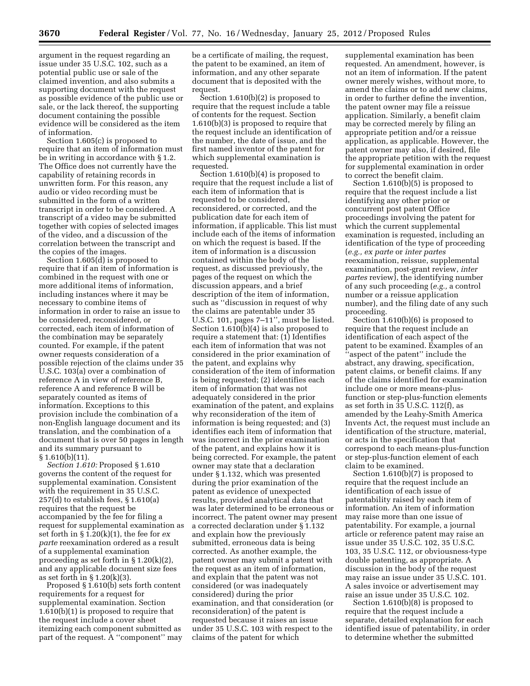argument in the request regarding an issue under 35 U.S.C. 102, such as a potential public use or sale of the claimed invention, and also submits a supporting document with the request as possible evidence of the public use or sale, or the lack thereof, the supporting document containing the possible evidence will be considered as the item of information.

Section 1.605(c) is proposed to require that an item of information must be in writing in accordance with § 1.2. The Office does not currently have the capability of retaining records in unwritten form. For this reason, any audio or video recording must be submitted in the form of a written transcript in order to be considered. A transcript of a video may be submitted together with copies of selected images of the video, and a discussion of the correlation between the transcript and the copies of the images.

Section 1.605(d) is proposed to require that if an item of information is combined in the request with one or more additional items of information, including instances where it may be necessary to combine items of information in order to raise an issue to be considered, reconsidered, or corrected, each item of information of the combination may be separately counted. For example, if the patent owner requests consideration of a possible rejection of the claims under 35 U.S.C. 103(a) over a combination of reference A in view of reference B, reference A and reference B will be separately counted as items of information. Exceptions to this provision include the combination of a non-English language document and its translation, and the combination of a document that is over 50 pages in length and its summary pursuant to  $§ 1.610(b)(11).$ 

*Section 1.610:* Proposed § 1.610 governs the content of the request for supplemental examination. Consistent with the requirement in 35 U.S.C. 257(d) to establish fees, § 1.610(a) requires that the request be accompanied by the fee for filing a request for supplemental examination as set forth in § 1.20(k)(1), the fee for *ex parte* reexamination ordered as a result of a supplemental examination proceeding as set forth in § 1.20(k)(2), and any applicable document size fees as set forth in  $\S 1.20(k)(3)$ .

Proposed § 1.610(b) sets forth content requirements for a request for supplemental examination. Section 1.610(b)(1) is proposed to require that the request include a cover sheet itemizing each component submitted as part of the request. A ''component'' may be a certificate of mailing, the request, the patent to be examined, an item of information, and any other separate document that is deposited with the request.

Section 1.610(b)(2) is proposed to require that the request include a table of contents for the request. Section 1.610(b)(3) is proposed to require that the request include an identification of the number, the date of issue, and the first named inventor of the patent for which supplemental examination is requested.

Section 1.610(b)(4) is proposed to require that the request include a list of each item of information that is requested to be considered, reconsidered, or corrected, and the publication date for each item of information, if applicable. This list must include each of the items of information on which the request is based. If the item of information is a discussion contained within the body of the request, as discussed previously, the pages of the request on which the discussion appears, and a brief description of the item of information, such as ''discussion in request of why the claims are patentable under 35 U.S.C. 101, pages 7–11'', must be listed. Section 1.610(b)(4) is also proposed to require a statement that: (1) Identifies each item of information that was not considered in the prior examination of the patent, and explains why consideration of the item of information is being requested; (2) identifies each item of information that was not adequately considered in the prior examination of the patent, and explains why reconsideration of the item of information is being requested; and (3) identifies each item of information that was incorrect in the prior examination of the patent, and explains how it is being corrected. For example, the patent owner may state that a declaration under § 1.132, which was presented during the prior examination of the patent as evidence of unexpected results, provided analytical data that was later determined to be erroneous or incorrect. The patent owner may present a corrected declaration under § 1.132 and explain how the previously submitted, erroneous data is being corrected. As another example, the patent owner may submit a patent with the request as an item of information, and explain that the patent was not considered (or was inadequately considered) during the prior examination, and that consideration (or reconsideration) of the patent is requested because it raises an issue under 35 U.S.C. 103 with respect to the claims of the patent for which

supplemental examination has been requested. An amendment, however, is not an item of information. If the patent owner merely wishes, without more, to amend the claims or to add new claims, in order to further define the invention, the patent owner may file a reissue application. Similarly, a benefit claim may be corrected merely by filing an appropriate petition and/or a reissue application, as applicable. However, the patent owner may also, if desired, file the appropriate petition with the request for supplemental examination in order to correct the benefit claim.

Section 1.610(b)(5) is proposed to require that the request include a list identifying any other prior or concurrent post patent Office proceedings involving the patent for which the current supplemental examination is requested, including an identification of the type of proceeding (*e.g., ex parte* or *inter partes*  reexamination, reissue, supplemental examination, post-grant review, *inter partes* review), the identifying number of any such proceeding (*e.g.,* a control number or a reissue application number), and the filing date of any such proceeding.

Section 1.610(b)(6) is proposed to require that the request include an identification of each aspect of the patent to be examined. Examples of an ''aspect of the patent'' include the abstract, any drawing, specification, patent claims, or benefit claims. If any of the claims identified for examination include one or more means-plusfunction or step-plus-function elements as set forth in 35 U.S.C. 112(f), as amended by the Leahy-Smith America Invents Act, the request must include an identification of the structure, material, or acts in the specification that correspond to each means-plus-function or step-plus-function element of each claim to be examined.

Section 1.610(b)(7) is proposed to require that the request include an identification of each issue of patentability raised by each item of information. An item of information may raise more than one issue of patentability. For example, a journal article or reference patent may raise an issue under 35 U.S.C. 102, 35 U.S.C. 103, 35 U.S.C. 112, or obviousness-type double patenting, as appropriate. A discussion in the body of the request may raise an issue under 35 U.S.C. 101. A sales invoice or advertisement may raise an issue under 35 U.S.C. 102.

Section 1.610(b)(8) is proposed to require that the request include a separate, detailed explanation for each identified issue of patentability, in order to determine whether the submitted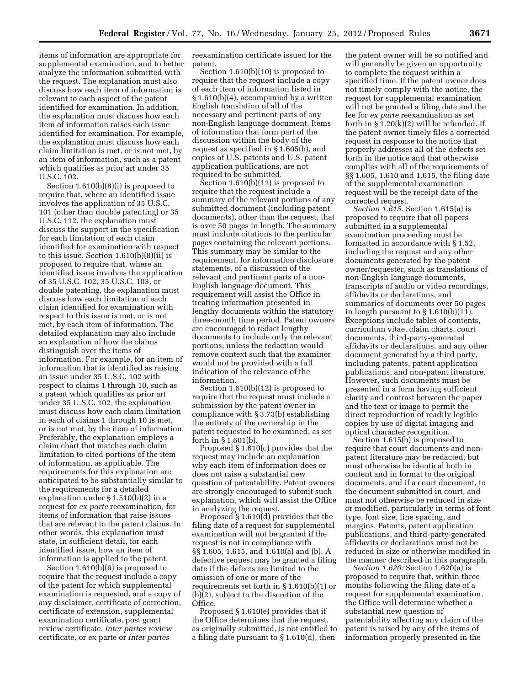items of information are appropriate for supplemental examination, and to better analyze the information submitted with the request. The explanation must also discuss how each item of information is relevant to each aspect of the patent identified for examination. In addition, the explanation must discuss how each item of information raises each issue identified for examination. For example, the explanation must discuss how each claim limitation is met, or is not met, by an item of information, such as a patent which qualifies as prior art under 35 U.S.C. 102.

Section 1.610(b)(8)(i) is proposed to require that, where an identified issue involves the application of 35 U.S.C. 101 (other than double patenting) or 35 U.S.C. 112, the explanation must discuss the support in the specification for each limitation of each claim identified for examination with respect to this issue. Section 1.610(b)(8)(ii) is proposed to require that, where an identified issue involves the application of 35 U.S.C. 102, 35 U.S.C. 103, or double patenting, the explanation must discuss how each limitation of each claim identified for examination with respect to this issue is met, or is not met, by each item of information. The detailed explanation may also include an explanation of how the claims distinguish over the items of information. For example, for an item of information that is identified as raising an issue under 35 U.S.C. 102 with respect to claims 1 through 10, such as a patent which qualifies as prior art under 35 U.S.C. 102, the explanation must discuss how each claim limitation in each of claims 1 through 10 is met, or is not met, by the item of information. Preferably, the explanation employs a claim chart that matches each claim limitation to cited portions of the item of information, as applicable. The requirements for this explanation are anticipated to be substantially similar to the requirements for a detailed explanation under § 1.510(b)(2) in a request for *ex parte* reexamination, for items of information that raise issues that are relevant to the patent claims. In other words, this explanation must state, in sufficient detail, for each identified issue, how an item of information is applied to the patent.

Section 1.610(b)(9) is proposed to require that the request include a copy of the patent for which supplemental examination is requested, and a copy of any disclaimer, certificate of correction, certificate of extension, supplemental examination certificate, post grant review certificate, *inter partes* review certificate, or ex parte or *inter partes* 

reexamination certificate issued for the patent.

Section 1.610(b)(10) is proposed to require that the request include a copy of each item of information listed in § 1.610(b)(4), accompanied by a written English translation of all of the necessary and pertinent parts of any non-English language document. Items of information that form part of the discussion within the body of the request as specified in § 1.605(b), and copies of U.S. patents and U.S. patent application publications, are not required to be submitted.

Section 1.610(b)(11) is proposed to require that the request include a summary of the relevant portions of any submitted document (including patent documents), other than the request, that is over 50 pages in length. The summary must include citations to the particular pages containing the relevant portions. This summary may be similar to the requirement, for information disclosure statements, of a discussion of the relevant and pertinent parts of a non-English language document. This requirement will assist the Office in treating information presented in lengthy documents within the statutory three-month time period. Patent owners are encouraged to redact lengthy documents to include only the relevant portions, unless the redaction would remove context such that the examiner would not be provided with a full indication of the relevance of the information.

Section 1.610(b)(12) is proposed to require that the request must include a submission by the patent owner in compliance with § 3.73(b) establishing the entirety of the ownership in the patent requested to be examined, as set forth in § 1.601(b).

Proposed § 1.610(c) provides that the request may include an explanation why each item of information does or does not raise a substantial new question of patentability. Patent owners are strongly encouraged to submit such explanation, which will assist the Office in analyzing the request.

Proposed § 1.610(d) provides that the filing date of a request for supplemental examination will not be granted if the request is not in compliance with §§ 1.605, 1.615, and 1.610(a) and (b). A defective request may be granted a filing date if the defects are limited to the omission of one or more of the requirements set forth in § 1.610(b)(1) or (b)(2), subject to the discretion of the Office.

Proposed § 1.610(e) provides that if the Office determines that the request, as originally submitted, is not entitled to a filing date pursuant to § 1.610(d), then

the patent owner will be so notified and will generally be given an opportunity to complete the request within a specified time. If the patent owner does not timely comply with the notice, the request for supplemental examination will not be granted a filing date and the fee for *ex parte* reexamination as set forth in  $\S 1.20(k)(2)$  will be refunded. If the patent owner timely files a corrected request in response to the notice that properly addresses all of the defects set forth in the notice and that otherwise complies with all of the requirements of §§ 1.605, 1.610 and 1.615, the filing date of the supplemental examination request will be the receipt date of the corrected request.

*Section 1.615.* Section 1.615(a) is proposed to require that all papers submitted in a supplemental examination proceeding must be formatted in accordance with § 1.52, including the request and any other documents generated by the patent owner/requester, such as translations of non-English language documents, transcripts of audio or video recordings, affidavits or declarations, and summaries of documents over 50 pages in length pursuant to  $\S 1.610(b)(11)$ . Exceptions include tables of contents, curriculum vitae, claim charts, court documents, third-party-generated affidavits or declarations, and any other document generated by a third party, including patents, patent application publications, and non-patent literature. However, such documents must be presented in a form having sufficient clarity and contrast between the paper and the text or image to permit the direct reproduction of readily legible copies by use of digital imaging and optical character recognition.

Section 1.615(b) is proposed to require that court documents and nonpatent literature may be redacted, but must otherwise be identical both in content and in format to the original documents, and if a court document, to the document submitted in court, and must not otherwise be reduced in size or modified, particularly in terms of font type, font size, line spacing, and margins. Patents, patent application publications, and third-party-generated affidavits or declarations must not be reduced in size or otherwise modified in the manner described in this paragraph.

*Section 1.620:* Section 1.620(a) is proposed to require that, within three months following the filing date of a request for supplemental examination, the Office will determine whether a substantial new question of patentability affecting any claim of the patent is raised by any of the items of information properly presented in the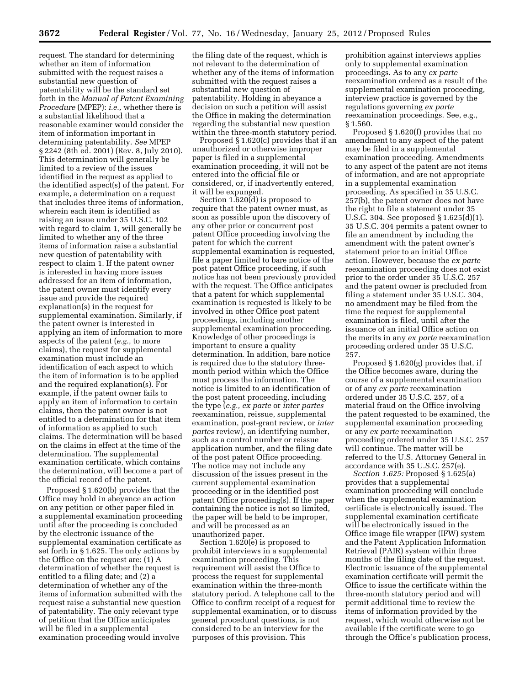request. The standard for determining whether an item of information submitted with the request raises a substantial new question of patentability will be the standard set forth in the *Manual of Patent Examining Procedure* (MPEP): *i.e.,* whether there is a substantial likelihood that a reasonable examiner would consider the item of information important in determining patentability. *See* MPEP § 2242 (8th ed. 2001) (Rev. 8, July 2010). This determination will generally be limited to a review of the issues identified in the request as applied to the identified aspect(s) of the patent. For example, a determination on a request that includes three items of information, wherein each item is identified as raising an issue under 35 U.S.C. 102 with regard to claim 1, will generally be limited to whether any of the three items of information raise a substantial new question of patentability with respect to claim 1. If the patent owner is interested in having more issues addressed for an item of information, the patent owner must identify every issue and provide the required explanation(s) in the request for supplemental examination. Similarly, if the patent owner is interested in applying an item of information to more aspects of the patent (*e.g.,* to more claims), the request for supplemental examination must include an identification of each aspect to which the item of information is to be applied and the required explanation(s). For example, if the patent owner fails to apply an item of information to certain claims, then the patent owner is not entitled to a determination for that item of information as applied to such claims. The determination will be based on the claims in effect at the time of the determination. The supplemental examination certificate, which contains the determination, will become a part of the official record of the patent.

Proposed § 1.620(b) provides that the Office may hold in abeyance an action on any petition or other paper filed in a supplemental examination proceeding until after the proceeding is concluded by the electronic issuance of the supplemental examination certificate as set forth in § 1.625. The only actions by the Office on the request are: (1) A determination of whether the request is entitled to a filing date; and (2) a determination of whether any of the items of information submitted with the request raise a substantial new question of patentability. The only relevant type of petition that the Office anticipates will be filed in a supplemental examination proceeding would involve

the filing date of the request, which is not relevant to the determination of whether any of the items of information submitted with the request raises a substantial new question of patentability. Holding in abeyance a decision on such a petition will assist the Office in making the determination regarding the substantial new question within the three-month statutory period.

Proposed § 1.620(c) provides that if an unauthorized or otherwise improper paper is filed in a supplemental examination proceeding, it will not be entered into the official file or considered, or, if inadvertently entered, it will be expunged.

Section 1.620(d) is proposed to require that the patent owner must, as soon as possible upon the discovery of any other prior or concurrent post patent Office proceeding involving the patent for which the current supplemental examination is requested, file a paper limited to bare notice of the post patent Office proceeding, if such notice has not been previously provided with the request. The Office anticipates that a patent for which supplemental examination is requested is likely to be involved in other Office post patent proceedings, including another supplemental examination proceeding. Knowledge of other proceedings is important to ensure a quality determination. In addition, bare notice is required due to the statutory threemonth period within which the Office must process the information. The notice is limited to an identification of the post patent proceeding, including the type (*e.g., ex parte* or *inter partes*  reexamination, reissue, supplemental examination, post-grant review, or *inter partes* review), an identifying number, such as a control number or reissue application number, and the filing date of the post patent Office proceeding. The notice may not include any discussion of the issues present in the current supplemental examination proceeding or in the identified post patent Office proceeding(s). If the paper containing the notice is not so limited, the paper will be held to be improper, and will be processed as an unauthorized paper.

Section 1.620(e) is proposed to prohibit interviews in a supplemental examination proceeding. This requirement will assist the Office to process the request for supplemental examination within the three-month statutory period. A telephone call to the Office to confirm receipt of a request for supplemental examination, or to discuss general procedural questions, is not considered to be an interview for the purposes of this provision. This

prohibition against interviews applies only to supplemental examination proceedings. As to any *ex parte*  reexamination ordered as a result of the supplemental examination proceeding, interview practice is governed by the regulations governing *ex parte*  reexamination proceedings. See, e.g., § 1.560.

Proposed § 1.620(f) provides that no amendment to any aspect of the patent may be filed in a supplemental examination proceeding. Amendments to any aspect of the patent are not items of information, and are not appropriate in a supplemental examination proceeding. As specified in 35 U.S.C. 257(b), the patent owner does not have the right to file a statement under 35 U.S.C. 304. See proposed § 1.625(d)(1). 35 U.S.C. 304 permits a patent owner to file an amendment by including the amendment with the patent owner's statement prior to an initial Office action. However, because the *ex parte*  reexamination proceeding does not exist prior to the order under 35 U.S.C. 257 and the patent owner is precluded from filing a statement under 35 U.S.C. 304, no amendment may be filed from the time the request for supplemental examination is filed, until after the issuance of an initial Office action on the merits in any *ex parte* reexamination proceeding ordered under 35 U.S.C. 257.

Proposed § 1.620(g) provides that, if the Office becomes aware, during the course of a supplemental examination or of any *ex parte* reexamination ordered under 35 U.S.C. 257, of a material fraud on the Office involving the patent requested to be examined, the supplemental examination proceeding or any *ex parte* reexamination proceeding ordered under 35 U.S.C. 257 will continue. The matter will be referred to the U.S. Attorney General in accordance with 35 U.S.C. 257(e).

*Section 1.625:* Proposed § 1.625(a) provides that a supplemental examination proceeding will conclude when the supplemental examination certificate is electronically issued. The supplemental examination certificate will be electronically issued in the Office image file wrapper (IFW) system and the Patent Application Information Retrieval (PAIR) system within three months of the filing date of the request. Electronic issuance of the supplemental examination certificate will permit the Office to issue the certificate within the three-month statutory period and will permit additional time to review the items of information provided by the request, which would otherwise not be available if the certificate were to go through the Office's publication process,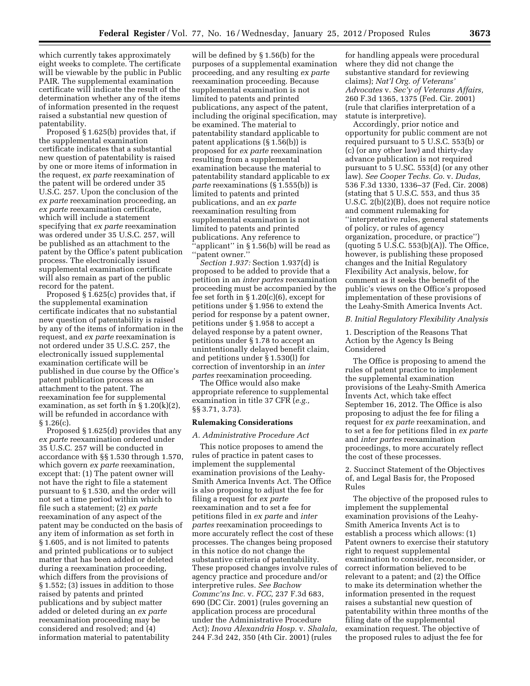which currently takes approximately eight weeks to complete. The certificate will be viewable by the public in Public PAIR. The supplemental examination certificate will indicate the result of the determination whether any of the items of information presented in the request raised a substantial new question of patentability.

Proposed § 1.625(b) provides that, if the supplemental examination certificate indicates that a substantial new question of patentability is raised by one or more items of information in the request, *ex parte* reexamination of the patent will be ordered under 35 U.S.C. 257. Upon the conclusion of the *ex parte* reexamination proceeding, an *ex parte* reexamination certificate, which will include a statement specifying that *ex parte* reexamination was ordered under 35 U.S.C. 257, will be published as an attachment to the patent by the Office's patent publication process. The electronically issued supplemental examination certificate will also remain as part of the public record for the patent.

Proposed  $\S$  1.625(c) provides that, if the supplemental examination certificate indicates that no substantial new question of patentability is raised by any of the items of information in the request, and *ex parte* reexamination is not ordered under 35 U.S.C. 257, the electronically issued supplemental examination certificate will be published in due course by the Office's patent publication process as an attachment to the patent. The reexamination fee for supplemental examination, as set forth in § 1.20(k)(2), will be refunded in accordance with § 1.26(c).

Proposed § 1.625(d) provides that any *ex parte* reexamination ordered under 35 U.S.C. 257 will be conducted in accordance with §§ 1.530 through 1.570, which govern *ex parte* reexamination, except that: (1) The patent owner will not have the right to file a statement pursuant to § 1.530, and the order will not set a time period within which to file such a statement; (2) *ex parte*  reexamination of any aspect of the patent may be conducted on the basis of any item of information as set forth in § 1.605, and is not limited to patents and printed publications or to subject matter that has been added or deleted during a reexamination proceeding, which differs from the provisions of § 1.552; (3) issues in addition to those raised by patents and printed publications and by subject matter added or deleted during an *ex parte*  reexamination proceeding may be considered and resolved; and (4) information material to patentability

will be defined by § 1.56(b) for the purposes of a supplemental examination proceeding, and any resulting *ex parte*  reexamination proceeding. Because supplemental examination is not limited to patents and printed publications, any aspect of the patent, including the original specification, may be examined. The material to patentability standard applicable to patent applications (§ 1.56(b)) is proposed for *ex parte* reexamination resulting from a supplemental examination because the material to patentability standard applicable to *ex parte* reexaminations (§ 1.555(b)) is limited to patents and printed publications, and an *ex parte*  reexamination resulting from supplemental examination is not limited to patents and printed publications. Any reference to 'applicant'' in § 1.56(b) will be read as ''patent owner.''

*Section 1.937:* Section 1.937(d) is proposed to be added to provide that a petition in an *inter partes* reexamination proceeding must be accompanied by the fee set forth in  $\S 1.20(c)(6)$ , except for petitions under § 1.956 to extend the period for response by a patent owner, petitions under § 1.958 to accept a delayed response by a patent owner, petitions under § 1.78 to accept an unintentionally delayed benefit claim, and petitions under § 1.530(l) for correction of inventorship in an *inter partes* reexamination proceeding.

The Office would also make appropriate reference to supplemental examination in title 37 CFR (*e.g.,*  §§ 3.71, 3.73).

#### **Rulemaking Considerations**

## *A. Administrative Procedure Act*

This notice proposes to amend the rules of practice in patent cases to implement the supplemental examination provisions of the Leahy-Smith America Invents Act. The Office is also proposing to adjust the fee for filing a request for *ex parte*  reexamination and to set a fee for petitions filed in *ex parte* and *inter partes* reexamination proceedings to more accurately reflect the cost of these processes. The changes being proposed in this notice do not change the substantive criteria of patentability. These proposed changes involve rules of agency practice and procedure and/or interpretive rules. *See Bachow Commc'ns Inc.* v. *FCC,* 237 F.3d 683, 690 (DC Cir. 2001) (rules governing an application process are procedural under the Administrative Procedure Act); *Inova Alexandria Hosp.* v. *Shalala,*  244 F.3d 242, 350 (4th Cir. 2001) (rules

for handling appeals were procedural where they did not change the substantive standard for reviewing claims); *Nat'l Org. of Veterans' Advocates* v. *Sec'y of Veterans Affairs,*  260 F.3d 1365, 1375 (Fed. Cir. 2001) (rule that clarifies interpretation of a statute is interpretive).

Accordingly, prior notice and opportunity for public comment are not required pursuant to 5 U.S.C. 553(b) or (c) (or any other law) and thirty-day advance publication is not required pursuant to 5 U.SC. 553(d) (or any other law). *See Cooper Techs. Co.* v. *Dudas,*  536 F.3d 1330, 1336–37 (Fed. Cir. 2008) (stating that 5 U.S.C. 553, and thus 35 U.S.C. 2(b)(2)(B), does not require notice and comment rulemaking for ''interpretative rules, general statements of policy, or rules of agency organization, procedure, or practice'') (quoting  $5$  U.S.C.  $553(b)(A)$ ). The Office, however, is publishing these proposed changes and the Initial Regulatory Flexibility Act analysis, below, for comment as it seeks the benefit of the public's views on the Office's proposed implementation of these provisions of the Leahy-Smith America Invents Act.

### *B. Initial Regulatory Flexibility Analysis*

1. Description of the Reasons That Action by the Agency Is Being Considered

The Office is proposing to amend the rules of patent practice to implement the supplemental examination provisions of the Leahy-Smith America Invents Act, which take effect September 16, 2012. The Office is also proposing to adjust the fee for filing a request for *ex parte* reexamination, and to set a fee for petitions filed in *ex parte*  and *inter partes* reexamination proceedings, to more accurately reflect the cost of these processes.

2. Succinct Statement of the Objectives of, and Legal Basis for, the Proposed Rules

The objective of the proposed rules to implement the supplemental examination provisions of the Leahy-Smith America Invents Act is to establish a process which allows: (1) Patent owners to exercise their statutory right to request supplemental examination to consider, reconsider, or correct information believed to be relevant to a patent; and (2) the Office to make its determination whether the information presented in the request raises a substantial new question of patentability within three months of the filing date of the supplemental examination request. The objective of the proposed rules to adjust the fee for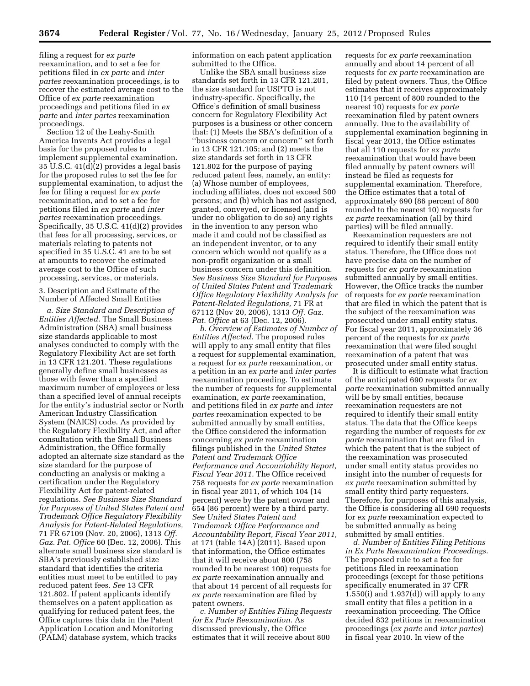filing a request for *ex parte*  reexamination, and to set a fee for petitions filed in *ex parte* and *inter partes* reexamination proceedings, is to recover the estimated average cost to the Office of *ex parte* reexamination proceedings and petitions filed in *ex parte* and *inter partes* reexamination proceedings.

Section 12 of the Leahy-Smith America Invents Act provides a legal basis for the proposed rules to implement supplemental examination. 35 U.S.C. 41(d)(2) provides a legal basis for the proposed rules to set the fee for supplemental examination, to adjust the fee for filing a request for *ex parte*  reexamination, and to set a fee for petitions filed in *ex parte* and *inter partes* reexamination proceedings. Specifically, 35 U.S.C. 41(d)(2) provides that fees for all processing, services, or materials relating to patents not specified in 35 U.S.C. 41 are to be set at amounts to recover the estimated average cost to the Office of such processing, services, or materials.

3. Description and Estimate of the Number of Affected Small Entities

*a. Size Standard and Description of Entities Affected.* The Small Business Administration (SBA) small business size standards applicable to most analyses conducted to comply with the Regulatory Flexibility Act are set forth in 13 CFR 121.201. These regulations generally define small businesses as those with fewer than a specified maximum number of employees or less than a specified level of annual receipts for the entity's industrial sector or North American Industry Classification System (NAICS) code. As provided by the Regulatory Flexibility Act, and after consultation with the Small Business Administration, the Office formally adopted an alternate size standard as the size standard for the purpose of conducting an analysis or making a certification under the Regulatory Flexibility Act for patent-related regulations. *See Business Size Standard for Purposes of United States Patent and Trademark Office Regulatory Flexibility Analysis for Patent-Related Regulations,*  71 FR 67109 (Nov. 20, 2006), 1313 *Off. Gaz. Pat. Office* 60 (Dec. 12, 2006). This alternate small business size standard is SBA's previously established size standard that identifies the criteria entities must meet to be entitled to pay reduced patent fees. *See* 13 CFR 121.802. If patent applicants identify themselves on a patent application as qualifying for reduced patent fees, the Office captures this data in the Patent Application Location and Monitoring (PALM) database system, which tracks

information on each patent application submitted to the Office.

Unlike the SBA small business size standards set forth in 13 CFR 121.201, the size standard for USPTO is not industry-specific. Specifically, the Office's definition of small business concern for Regulatory Flexibility Act purposes is a business or other concern that: (1) Meets the SBA's definition of a ''business concern or concern'' set forth in 13 CFR 121.105; and (2) meets the size standards set forth in 13 CFR 121.802 for the purpose of paying reduced patent fees, namely, an entity: (a) Whose number of employees, including affiliates, does not exceed 500 persons; and (b) which has not assigned, granted, conveyed, or licensed (and is under no obligation to do so) any rights in the invention to any person who made it and could not be classified as an independent inventor, or to any concern which would not qualify as a non-profit organization or a small business concern under this definition. *See Business Size Standard for Purposes of United States Patent and Trademark Office Regulatory Flexibility Analysis for Patent-Related Regulations,* 71 FR at 67112 (Nov 20, 2006), 1313 *Off. Gaz. Pat. Office* at 63 (Dec. 12, 2006).

*b. Overview of Estimates of Number of Entities Affected.* The proposed rules will apply to any small entity that files a request for supplemental examination, a request for *ex parte* reexamination, or a petition in an *ex parte* and *inter partes*  reexamination proceeding. To estimate the number of requests for supplemental examination, *ex parte* reexamination, and petitions filed in *ex parte* and *inter partes* reexamination expected to be submitted annually by small entities, the Office considered the information concerning *ex parte* reexamination filings published in the *United States Patent and Trademark Office Performance and Accountability Report, Fiscal Year 2011.* The Office received 758 requests for *ex parte* reexamination in fiscal year 2011, of which 104 (14 percent) were by the patent owner and 654 (86 percent) were by a third party. *See United States Patent and Trademark Office Performance and Accountability Report, Fiscal Year 2011,*  at 171 (table 14A) (2011). Based upon that information, the Office estimates that it will receive about 800 (758 rounded to be nearest 100) requests for *ex parte* reexamination annually and that about 14 percent of all requests for *ex parte* reexamination are filed by patent owners.

*c. Number of Entities Filing Requests for Ex Parte Reexamination.* As discussed previously, the Office estimates that it will receive about 800

requests for *ex parte* reexamination annually and about 14 percent of all requests for *ex parte* reexamination are filed by patent owners. Thus, the Office estimates that it receives approximately 110 (14 percent of 800 rounded to the nearest 10) requests for *ex parte*  reexamination filed by patent owners annually. Due to the availability of supplemental examination beginning in fiscal year 2013, the Office estimates that all 110 requests for *ex parte*  reexamination that would have been filed annually by patent owners will instead be filed as requests for supplemental examination. Therefore, the Office estimates that a total of approximately 690 (86 percent of 800 rounded to the nearest 10) requests for *ex parte* reexamination (all by third parties) will be filed annually.

Reexamination requesters are not required to identify their small entity status. Therefore, the Office does not have precise data on the number of requests for *ex parte* reexamination submitted annually by small entities. However, the Office tracks the number of requests for *ex parte* reexamination that are filed in which the patent that is the subject of the reexamination was prosecuted under small entity status. For fiscal year 2011, approximately 36 percent of the requests for *ex parte*  reexamination that were filed sought reexamination of a patent that was prosecuted under small entity status.

It is difficult to estimate what fraction of the anticipated 690 requests for *ex parte* reexamination submitted annually will be by small entities, because reexamination requesters are not required to identify their small entity status. The data that the Office keeps regarding the number of requests for *ex parte* reexamination that are filed in which the patent that is the subject of the reexamination was prosecuted under small entity status provides no insight into the number of requests for *ex parte* reexamination submitted by small entity third party requesters. Therefore, for purposes of this analysis, the Office is considering all 690 requests for *ex parte* reexamination expected to be submitted annually as being submitted by small entities.

*d. Number of Entities Filing Petitions in Ex Parte Reexamination Proceedings.*  The proposed rule to set a fee for petitions filed in reexamination proceedings (except for those petitions specifically enumerated in 37 CFR  $1.550(i)$  and  $1.937(d)$  will apply to any small entity that files a petition in a reexamination proceeding. The Office decided 832 petitions in reexamination proceedings (*ex parte* and *inter partes*) in fiscal year 2010. In view of the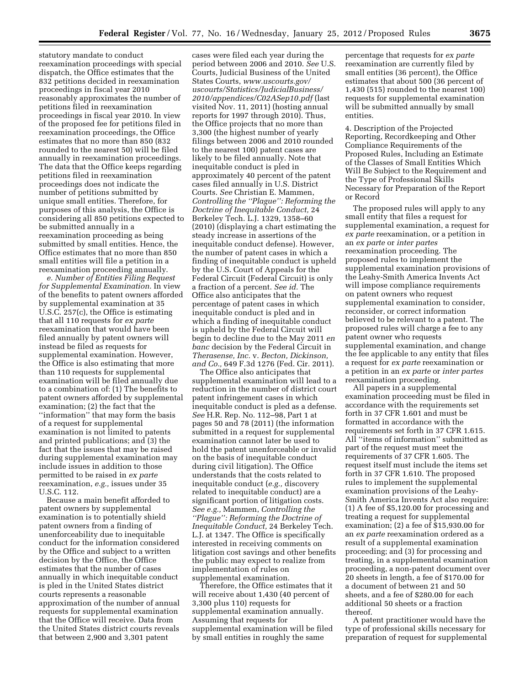statutory mandate to conduct reexamination proceedings with special dispatch, the Office estimates that the 832 petitions decided in reexamination proceedings in fiscal year 2010 reasonably approximates the number of petitions filed in reexamination proceedings in fiscal year 2010. In view of the proposed fee for petitions filed in reexamination proceedings, the Office estimates that no more than 850 (832 rounded to the nearest 50) will be filed annually in reexamination proceedings. The data that the Office keeps regarding petitions filed in reexamination proceedings does not indicate the number of petitions submitted by unique small entities. Therefore, for purposes of this analysis, the Office is considering all 850 petitions expected to be submitted annually in a reexamination proceeding as being submitted by small entities. Hence, the Office estimates that no more than 850 small entities will file a petition in a reexamination proceeding annually.

*e. Number of Entities Filing Request for Supplemental Examination.* In view of the benefits to patent owners afforded by supplemental examination at 35 U.S.C. 257(c), the Office is estimating that all 110 requests for *ex parte*  reexamination that would have been filed annually by patent owners will instead be filed as requests for supplemental examination. However, the Office is also estimating that more than 110 requests for supplemental examination will be filed annually due to a combination of: (1) The benefits to patent owners afforded by supplemental examination; (2) the fact that the ''information'' that may form the basis of a request for supplemental examination is not limited to patents and printed publications; and (3) the fact that the issues that may be raised during supplemental examination may include issues in addition to those permitted to be raised in *ex parte*  reexamination, *e.g.,* issues under 35 U.S.C. 112.

Because a main benefit afforded to patent owners by supplemental examination is to potentially shield patent owners from a finding of unenforceability due to inequitable conduct for the information considered by the Office and subject to a written decision by the Office, the Office estimates that the number of cases annually in which inequitable conduct is pled in the United States district courts represents a reasonable approximation of the number of annual requests for supplemental examination that the Office will receive. Data from the United States district courts reveals that between 2,900 and 3,301 patent

cases were filed each year during the period between 2006 and 2010. *See* U.S. Courts, Judicial Business of the United States Courts, *[www.uscourts.gov/](http://www.uscourts.gov/uscourts/Statistics/JudicialBusiness/2010/appendices/C02ASep10.pdf) [uscourts/Statistics/JudicialBusiness/](http://www.uscourts.gov/uscourts/Statistics/JudicialBusiness/2010/appendices/C02ASep10.pdf) [2010/appendices/C02ASep10.pdf](http://www.uscourts.gov/uscourts/Statistics/JudicialBusiness/2010/appendices/C02ASep10.pdf)* (last visited Nov. 11, 2011) (hosting annual reports for 1997 through 2010). Thus, the Office projects that no more than 3,300 (the highest number of yearly filings between 2006 and 2010 rounded to the nearest 100) patent cases are likely to be filed annually. Note that inequitable conduct is pled in approximately 40 percent of the patent cases filed annually in U.S. District Courts. *See* Christian E. Mammen, *Controlling the ''Plague'': Reforming the Doctrine of Inequitable Conduct,* 24 Berkeley Tech. L.J. 1329, 1358–60 (2010) (displaying a chart estimating the steady increase in assertions of the inequitable conduct defense). However, the number of patent cases in which a finding of inequitable conduct is upheld by the U.S. Court of Appeals for the Federal Circuit (Federal Circuit) is only a fraction of a percent. *See id.* The Office also anticipates that the percentage of patent cases in which inequitable conduct is pled and in which a finding of inequitable conduct is upheld by the Federal Circuit will begin to decline due to the May 2011 *en banc* decision by the Federal Circuit in *Therasense, Inc.* v. *Becton, Dickinson, and Co.,* 649 F.3d 1276 (Fed. Cir. 2011).

The Office also anticipates that supplemental examination will lead to a reduction in the number of district court patent infringement cases in which inequitable conduct is pled as a defense. *See* H.R. Rep. No. 112–98, Part 1 at pages 50 and 78 (2011) (the information submitted in a request for supplemental examination cannot later be used to hold the patent unenforceable or invalid on the basis of inequitable conduct during civil litigation). The Office understands that the costs related to inequitable conduct (*e.g.,* discovery related to inequitable conduct) are a significant portion of litigation costs. *See e.g.,* Mammen, *Controlling the ''Plague'': Reforming the Doctrine of Inequitable Conduct,* 24 Berkeley Tech. L.J. at 1347. The Office is specifically interested in receiving comments on litigation cost savings and other benefits the public may expect to realize from implementation of rules on supplemental examination.

Therefore, the Office estimates that it will receive about 1,430 (40 percent of 3,300 plus 110) requests for supplemental examination annually. Assuming that requests for supplemental examination will be filed by small entities in roughly the same

percentage that requests for *ex parte*  reexamination are currently filed by small entities (36 percent), the Office estimates that about 500 (36 percent of 1,430 (515) rounded to the nearest 100) requests for supplemental examination will be submitted annually by small entities.

4. Description of the Projected Reporting, Recordkeeping and Other Compliance Requirements of the Proposed Rules, Including an Estimate of the Classes of Small Entities Which Will Be Subject to the Requirement and the Type of Professional Skills Necessary for Preparation of the Report or Record

The proposed rules will apply to any small entity that files a request for supplemental examination, a request for *ex parte* reexamination, or a petition in an *ex parte* or *inter partes*  reexamination proceeding. The proposed rules to implement the supplemental examination provisions of the Leahy-Smith America Invents Act will impose compliance requirements on patent owners who request supplemental examination to consider, reconsider, or correct information believed to be relevant to a patent. The proposed rules will charge a fee to any patent owner who requests supplemental examination, and change the fee applicable to any entity that files a request for *ex parte* reexamination or a petition in an *ex parte* or *inter partes*  reexamination proceeding.

All papers in a supplemental examination proceeding must be filed in accordance with the requirements set forth in 37 CFR 1.601 and must be formatted in accordance with the requirements set forth in 37 CFR 1.615. All ''items of information'' submitted as part of the request must meet the requirements of 37 CFR 1.605. The request itself must include the items set forth in 37 CFR 1.610. The proposed rules to implement the supplemental examination provisions of the Leahy-Smith America Invents Act also require: (1) A fee of \$5,120.00 for processing and treating a request for supplemental examination; (2) a fee of \$15,930.00 for an *ex parte* reexamination ordered as a result of a supplemental examination proceeding; and (3) for processing and treating, in a supplemental examination proceeding, a non-patent document over 20 sheets in length, a fee of \$170.00 for a document of between 21 and 50 sheets, and a fee of \$280.00 for each additional 50 sheets or a fraction thereof.

A patent practitioner would have the type of professional skills necessary for preparation of request for supplemental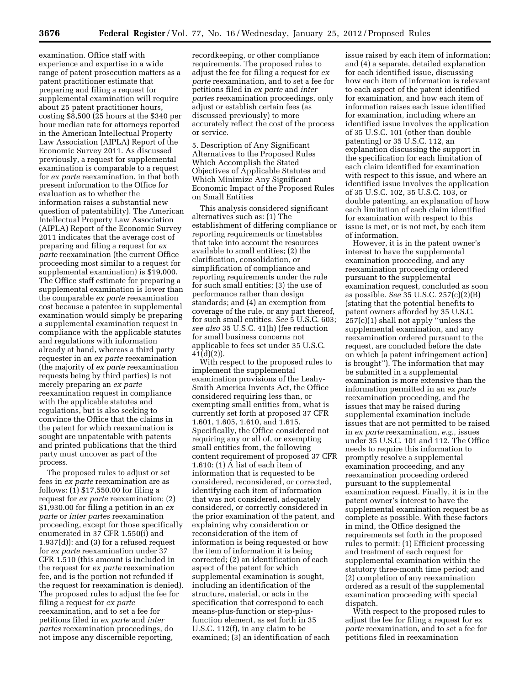examination. Office staff with experience and expertise in a wide range of patent prosecution matters as a patent practitioner estimate that preparing and filing a request for supplemental examination will require about 25 patent practitioner hours, costing \$8,500 (25 hours at the \$340 per hour median rate for attorneys reported in the American Intellectual Property Law Association (AIPLA) Report of the Economic Survey 2011. As discussed previously, a request for supplemental examination is comparable to a request for *ex parte* reexamination, in that both present information to the Office for evaluation as to whether the information raises a substantial new question of patentability). The American Intellectual Property Law Association (AIPLA) Report of the Economic Survey 2011 indicates that the average cost of preparing and filing a request for *ex parte* reexamination (the current Office proceeding most similar to a request for supplemental examination) is \$19,000. The Office staff estimate for preparing a supplemental examination is lower than the comparable *ex parte* reexamination cost because a patentee in supplemental examination would simply be preparing a supplemental examination request in compliance with the applicable statutes and regulations with information already at hand, whereas a third party requester in an *ex parte* reexamination (the majority of *ex parte* reexamination requests being by third parties) is not merely preparing an *ex parte*  reexamination request in compliance with the applicable statutes and regulations, but is also seeking to convince the Office that the claims in the patent for which reexamination is sought are unpatentable with patents and printed publications that the third party must uncover as part of the process.

The proposed rules to adjust or set fees in *ex parte* reexamination are as follows: (1) \$17,550.00 for filing a request for *ex parte* reexamination; (2) \$1,930.00 for filing a petition in an *ex parte* or *inter partes* reexamination proceeding, except for those specifically enumerated in 37 CFR 1.550(i) and 1.937(d)): and (3) for a refused request for *ex parte* reexamination under 37 CFR 1.510 (this amount is included in the request for *ex parte* reexamination fee, and is the portion not refunded if the request for reexamination is denied). The proposed rules to adjust the fee for filing a request for *ex parte*  reexamination, and to set a fee for petitions filed in *ex parte* and *inter partes* reexamination proceedings, do not impose any discernible reporting,

recordkeeping, or other compliance requirements. The proposed rules to adjust the fee for filing a request for *ex parte* reexamination, and to set a fee for petitions filed in *ex parte* and *inter partes* reexamination proceedings, only adjust or establish certain fees (as discussed previously) to more accurately reflect the cost of the process or service.

5. Description of Any Significant Alternatives to the Proposed Rules Which Accomplish the Stated Objectives of Applicable Statutes and Which Minimize Any Significant Economic Impact of the Proposed Rules on Small Entities

This analysis considered significant alternatives such as: (1) The establishment of differing compliance or reporting requirements or timetables that take into account the resources available to small entities; (2) the clarification, consolidation, or simplification of compliance and reporting requirements under the rule for such small entities; (3) the use of performance rather than design standards; and (4) an exemption from coverage of the rule, or any part thereof, for such small entities. *See* 5 U.S.C. 603; *see also* 35 U.S.C. 41(h) (fee reduction for small business concerns not applicable to fees set under 35 U.S.C. 41(d)(2)).

With respect to the proposed rules to implement the supplemental examination provisions of the Leahy-Smith America Invents Act, the Office considered requiring less than, or exempting small entities from, what is currently set forth at proposed 37 CFR 1.601, 1.605, 1.610, and 1.615. Specifically, the Office considered not requiring any or all of, or exempting small entities from, the following content requirement of proposed 37 CFR 1.610: (1) A list of each item of information that is requested to be considered, reconsidered, or corrected, identifying each item of information that was not considered, adequately considered, or correctly considered in the prior examination of the patent, and explaining why consideration or reconsideration of the item of information is being requested or how the item of information it is being corrected; (2) an identification of each aspect of the patent for which supplemental examination is sought, including an identification of the structure, material, or acts in the specification that correspond to each means-plus-function or step-plusfunction element, as set forth in 35 U.S.C. 112(f), in any claim to be examined; (3) an identification of each

issue raised by each item of information; and (4) a separate, detailed explanation for each identified issue, discussing how each item of information is relevant to each aspect of the patent identified for examination, and how each item of information raises each issue identified for examination, including where an identified issue involves the application of 35 U.S.C. 101 (other than double patenting) or 35 U.S.C. 112, an explanation discussing the support in the specification for each limitation of each claim identified for examination with respect to this issue, and where an identified issue involves the application of 35 U.S.C. 102, 35 U.S.C. 103, or double patenting, an explanation of how each limitation of each claim identified for examination with respect to this issue is met, or is not met, by each item of information.

However, it is in the patent owner's interest to have the supplemental examination proceeding, and any reexamination proceeding ordered pursuant to the supplemental examination request, concluded as soon as possible. *See* 35 U.S.C. 257(c)(2)(B) (stating that the potential benefits to patent owners afforded by 35 U.S.C. 257(c)(1) shall not apply ''unless the supplemental examination, and any reexamination ordered pursuant to the request, are concluded before the date on which [a patent infringement action] is brought''). The information that may be submitted in a supplemental examination is more extensive than the information permitted in an *ex parte*  reexamination proceeding, and the issues that may be raised during supplemental examination include issues that are not permitted to be raised in *ex parte* reexamination, *e.g.,* issues under 35 U.S.C. 101 and 112. The Office needs to require this information to promptly resolve a supplemental examination proceeding, and any reexamination proceeding ordered pursuant to the supplemental examination request. Finally, it is in the patent owner's interest to have the supplemental examination request be as complete as possible. With these factors in mind, the Office designed the requirements set forth in the proposed rules to permit: (1) Efficient processing and treatment of each request for supplemental examination within the statutory three-month time period; and (2) completion of any reexamination ordered as a result of the supplemental examination proceeding with special dispatch.

With respect to the proposed rules to adjust the fee for filing a request for *ex parte* reexamination, and to set a fee for petitions filed in reexamination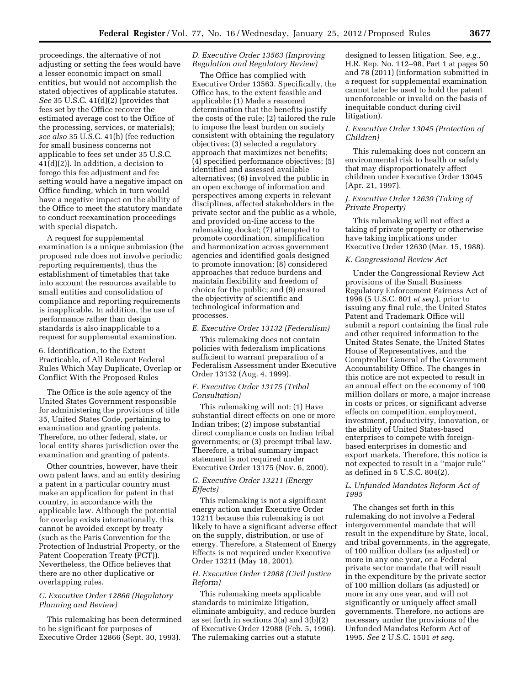proceedings, the alternative of not adjusting or setting the fees would have a lesser economic impact on small entities, but would not accomplish the stated objectives of applicable statutes. *See* 35 U.S.C. 41(d)(2) (provides that fees set by the Office recover the estimated average cost to the Office of the processing, services, or materials); *see also* 35 U.S.C. 41(h) (fee reduction for small business concerns not applicable to fees set under 35 U.S.C. 41(d)(2)). In addition, a decision to forego this fee adjustment and fee setting would have a negative impact on Office funding, which in turn would have a negative impact on the ability of the Office to meet the statutory mandate to conduct reexamination proceedings with special dispatch.

A request for supplemental examination is a unique submission (the proposed rule does not involve periodic reporting requirements), thus the establishment of timetables that take into account the resources available to small entities and consolidation of compliance and reporting requirements is inapplicable. In addition, the use of performance rather than design standards is also inapplicable to a request for supplemental examination.

6. Identification, to the Extent Practicable, of All Relevant Federal Rules Which May Duplicate, Overlap or Conflict With the Proposed Rules

The Office is the sole agency of the United States Government responsible for administering the provisions of title 35, United States Code, pertaining to examination and granting patents. Therefore, no other federal, state, or local entity shares jurisdiction over the examination and granting of patents.

Other countries, however, have their own patent laws, and an entity desiring a patent in a particular country must make an application for patent in that country, in accordance with the applicable law. Although the potential for overlap exists internationally, this cannot be avoided except by treaty (such as the Paris Convention for the Protection of Industrial Property, or the Patent Cooperation Treaty (PCT)). Nevertheless, the Office believes that there are no other duplicative or overlapping rules.

## *C. Executive Order 12866 (Regulatory Planning and Review)*

This rulemaking has been determined to be significant for purposes of Executive Order 12866 (Sept. 30, 1993).

## *D. Executive Order 13563 (Improving Regulation and Regulatory Review)*

The Office has complied with Executive Order 13563. Specifically, the Office has, to the extent feasible and applicable: (1) Made a reasoned determination that the benefits justify the costs of the rule; (2) tailored the rule to impose the least burden on society consistent with obtaining the regulatory objectives; (3) selected a regulatory approach that maximizes net benefits; (4) specified performance objectives; (5) identified and assessed available alternatives; (6) involved the public in an open exchange of information and perspectives among experts in relevant disciplines, affected stakeholders in the private sector and the public as a whole, and provided on-line access to the rulemaking docket; (7) attempted to promote coordination, simplification and harmonization across government agencies and identified goals designed to promote innovation; (8) considered approaches that reduce burdens and maintain flexibility and freedom of choice for the public; and (9) ensured the objectivity of scientific and technological information and processes.

#### *E. Executive Order 13132 (Federalism)*

This rulemaking does not contain policies with federalism implications sufficient to warrant preparation of a Federalism Assessment under Executive Order 13132 (Aug. 4, 1999).

## *F. Executive Order 13175 (Tribal Consultation)*

This rulemaking will not: (1) Have substantial direct effects on one or more Indian tribes; (2) impose substantial direct compliance costs on Indian tribal governments; or (3) preempt tribal law. Therefore, a tribal summary impact statement is not required under Executive Order 13175 (Nov. 6, 2000).

# *G. Executive Order 13211 (Energy Effects)*

This rulemaking is not a significant energy action under Executive Order 13211 because this rulemaking is not likely to have a significant adverse effect on the supply, distribution, or use of energy. Therefore, a Statement of Energy Effects is not required under Executive Order 13211 (May 18, 2001).

## *H. Executive Order 12988 (Civil Justice Reform)*

This rulemaking meets applicable standards to minimize litigation, eliminate ambiguity, and reduce burden as set forth in sections 3(a) and 3(b)(2) of Executive Order 12988 (Feb. 5, 1996). The rulemaking carries out a statute

designed to lessen litigation. See, *e.g.,*  H.R. Rep. No. 112–98, Part 1 at pages 50 and 78 (2011) (information submitted in a request for supplemental examination cannot later be used to hold the patent unenforceable or invalid on the basis of inequitable conduct during civil litigation).

## *I. Executive Order 13045 (Protection of Children)*

This rulemaking does not concern an environmental risk to health or safety that may disproportionately affect children under Executive Order 13045 (Apr. 21, 1997).

# *J. Executive Order 12630 (Taking of Private Property)*

This rulemaking will not effect a taking of private property or otherwise have taking implications under Executive Order 12630 (Mar. 15, 1988).

#### *K. Congressional Review Act*

Under the Congressional Review Act provisions of the Small Business Regulatory Enforcement Fairness Act of 1996 (5 U.S.C. 801 *et seq.*), prior to issuing any final rule, the United States Patent and Trademark Office will submit a report containing the final rule and other required information to the United States Senate, the United States House of Representatives, and the Comptroller General of the Government Accountability Office. The changes in this notice are not expected to result in an annual effect on the economy of 100 million dollars or more, a major increase in costs or prices, or significant adverse effects on competition, employment, investment, productivity, innovation, or the ability of United States-based enterprises to compete with foreignbased enterprises in domestic and export markets. Therefore, this notice is not expected to result in a ''major rule'' as defined in 5 U.S.C. 804(2).

## *L. Unfunded Mandates Reform Act of 1995*

The changes set forth in this rulemaking do not involve a Federal intergovernmental mandate that will result in the expenditure by State, local, and tribal governments, in the aggregate, of 100 million dollars (as adjusted) or more in any one year, or a Federal private sector mandate that will result in the expenditure by the private sector of 100 million dollars (as adjusted) or more in any one year, and will not significantly or uniquely affect small governments. Therefore, no actions are necessary under the provisions of the Unfunded Mandates Reform Act of 1995. *See* 2 U.S.C. 1501 *et seq.*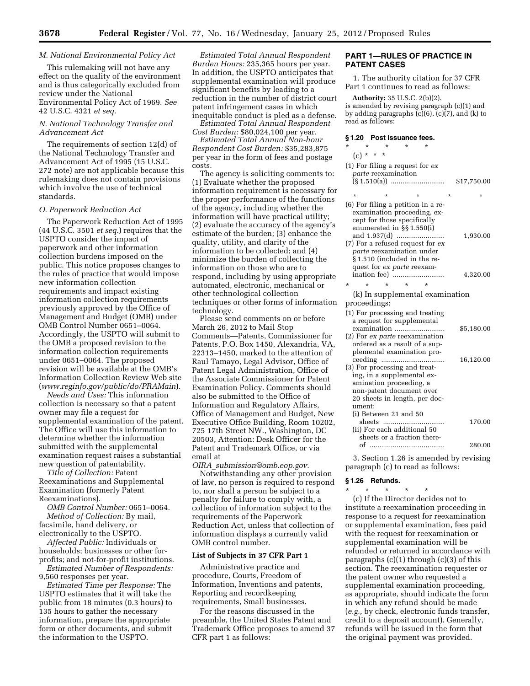## *M. National Environmental Policy Act*

This rulemaking will not have any effect on the quality of the environment and is thus categorically excluded from review under the National Environmental Policy Act of 1969. *See*  42 U.S.C. 4321 *et seq.* 

### *N. National Technology Transfer and Advancement Act*

The requirements of section 12(d) of the National Technology Transfer and Advancement Act of 1995 (15 U.S.C. 272 note) are not applicable because this rulemaking does not contain provisions which involve the use of technical standards.

#### *O. Paperwork Reduction Act*

The Paperwork Reduction Act of 1995 (44 U.S.C. 3501 *et seq.*) requires that the USPTO consider the impact of paperwork and other information collection burdens imposed on the public. This notice proposes changes to the rules of practice that would impose new information collection requirements and impact existing information collection requirements previously approved by the Office of Management and Budget (OMB) under OMB Control Number 0651–0064. Accordingly, the USPTO will submit to the OMB a proposed revision to the information collection requirements under 0651–0064. The proposed revision will be available at the OMB's Information Collection Review Web site (*[www.reginfo.gov/public/do/PRAMain](http://www.reginfo.gov/public/do/PRAMain)*).

*Needs and Uses:* This information collection is necessary so that a patent owner may file a request for supplemental examination of the patent. The Office will use this information to determine whether the information submitted with the supplemental examination request raises a substantial new question of patentability.

*Title of Collection:* Patent Reexaminations and Supplemental Examination (formerly Patent Reexaminations).

*OMB Control Number:* 0651–0064. *Method of Collection:* By mail, facsimile, hand delivery, or electronically to the USPTO.

*Affected Public:* Individuals or households; businesses or other forprofits; and not-for-profit institutions.

*Estimated Number of Respondents:*  9,560 responses per year.

*Estimated Time per Response:* The USPTO estimates that it will take the public from 18 minutes (0.3 hours) to 135 hours to gather the necessary information, prepare the appropriate form or other documents, and submit the information to the USPTO.

*Estimated Total Annual Respondent Burden Hours:* 235,365 hours per year. In addition, the USPTO anticipates that supplemental examination will produce significant benefits by leading to a reduction in the number of district court patent infringement cases in which inequitable conduct is pled as a defense.

*Estimated Total Annual Respondent Cost Burden:* \$80,024,100 per year.

*Estimated Total Annual Non-hour Respondent Cost Burden:* \$35,283,875 per year in the form of fees and postage costs.

The agency is soliciting comments to: (1) Evaluate whether the proposed information requirement is necessary for the proper performance of the functions of the agency, including whether the information will have practical utility; (2) evaluate the accuracy of the agency's estimate of the burden; (3) enhance the quality, utility, and clarity of the information to be collected; and (4) minimize the burden of collecting the information on those who are to respond, including by using appropriate automated, electronic, mechanical or other technological collection techniques or other forms of information technology.

Please send comments on or before March 26, 2012 to Mail Stop Comments—Patents, Commissioner for Patents, P.O. Box 1450, Alexandria, VA, 22313–1450, marked to the attention of Raul Tamayo, Legal Advisor, Office of Patent Legal Administration, Office of the Associate Commissioner for Patent Examination Policy. Comments should also be submitted to the Office of Information and Regulatory Affairs, Office of Management and Budget, New Executive Office Building, Room 10202, 725 17th Street NW., Washington, DC 20503, Attention: Desk Officer for the Patent and Trademark Office, or via email at

*OIRA*\_*[submission@omb.eop.gov.](mailto:OIRA_submission@omb.eop.gov)*  Notwithstanding any other provision of law, no person is required to respond to, nor shall a person be subject to a penalty for failure to comply with, a collection of information subject to the requirements of the Paperwork Reduction Act, unless that collection of information displays a currently valid OMB control number.

#### **List of Subjects in 37 CFR Part 1**

Administrative practice and procedure, Courts, Freedom of Information, Inventions and patents, Reporting and recordkeeping requirements, Small businesses.

For the reasons discussed in the preamble, the United States Patent and Trademark Office proposes to amend 37 CFR part 1 as follows:

## **PART 1—RULES OF PRACTICE IN PATENT CASES**

1. The authority citation for 37 CFR Part 1 continues to read as follows:

**Authority:** 35 U.S.C. 2(b)(2). is amended by revising paragraph (c)(1) and by adding paragraphs  $(c)(6)$ ,  $(c)(7)$ , and  $(k)$  to read as follows:

#### **§ 1.20 Post issuance fees.**

| *        | $\star$<br>$\star$<br>*                                                                                                                                                                                                                             | *       |             |
|----------|-----------------------------------------------------------------------------------------------------------------------------------------------------------------------------------------------------------------------------------------------------|---------|-------------|
|          | $(c) * * * *$                                                                                                                                                                                                                                       |         |             |
|          | $(1)$ For filing a request for $ex$<br>parte reexamination                                                                                                                                                                                          |         | \$17,750.00 |
|          | $\star$<br>$\star$<br>$\star$                                                                                                                                                                                                                       | $\star$ | ÷           |
|          | (6) For filing a petition in a re-<br>examination proceeding, ex-<br>cept for those specifically<br>enumerated in §§1.550(i)<br>and 1.937(d)<br>(7) For a refused request for ex<br><i>parte</i> reexamination under<br>§1.510 (included in the re- |         | 1,930.00    |
|          | quest for ex parte reexam-<br>$\star$<br>$\star$<br>$\star$                                                                                                                                                                                         | ÷       | 4,320.00    |
| $^\star$ | (k) In supplemental examination                                                                                                                                                                                                                     |         |             |
|          | proceedings:                                                                                                                                                                                                                                        |         |             |
|          | (1) For processing and treating                                                                                                                                                                                                                     |         |             |
|          | a request for supplemental<br>examination                                                                                                                                                                                                           |         | \$5,180.00  |
|          | (2) For ex parte reexamination<br>ordered as a result of a sup-<br>plemental examination pro-                                                                                                                                                       |         | 16,120.00   |
|          | (3) For processing and treat-<br>ing, in a supplemental ex-<br>amination proceeding, a<br>non-patent document over<br>20 sheets in length, per doc-<br>ument:                                                                                       |         |             |
|          | (i) Between 21 and 50<br>sheets<br>(ii) For each additional 50                                                                                                                                                                                      |         | 170.00      |
|          | sheets or a fraction there-                                                                                                                                                                                                                         |         | 280.00      |
|          |                                                                                                                                                                                                                                                     |         |             |

3. Section 1.26 is amended by revising paragraph (c) to read as follows:

#### **§ 1.26 Refunds.**  \* \* \* \* \*

(c) If the Director decides not to institute a reexamination proceeding in response to a request for reexamination or supplemental examination, fees paid with the request for reexamination or supplemental examination will be refunded or returned in accordance with paragraphs  $(c)(1)$  through  $(c)(3)$  of this section. The reexamination requester or the patent owner who requested a supplemental examination proceeding, as appropriate, should indicate the form in which any refund should be made (*e.g.,* by check, electronic funds transfer, credit to a deposit account). Generally, refunds will be issued in the form that the original payment was provided.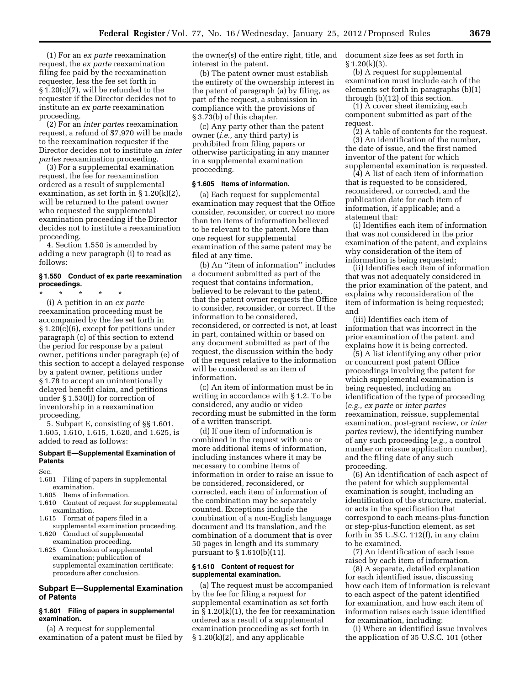(1) For an *ex parte* reexamination request, the *ex parte* reexamination filing fee paid by the reexamination requester, less the fee set forth in § 1.20(c)(7), will be refunded to the requester if the Director decides not to institute an *ex parte* reexamination proceeding.

(2) For an *inter partes* reexamination request, a refund of \$7,970 will be made to the reexamination requester if the Director decides not to institute an *inter partes* reexamination proceeding.

(3) For a supplemental examination request, the fee for reexamination ordered as a result of supplemental examination, as set forth in  $\S 1.20(k)(2)$ , will be returned to the patent owner who requested the supplemental examination proceeding if the Director decides not to institute a reexamination proceeding.

4. Section 1.550 is amended by adding a new paragraph (i) to read as follows:

## **§ 1.550 Conduct of ex parte reexamination proceedings.**

\* \* \* \* \* (i) A petition in an *ex parte*  reexamination proceeding must be accompanied by the fee set forth in § 1.20(c)(6), except for petitions under paragraph (c) of this section to extend the period for response by a patent owner, petitions under paragraph (e) of this section to accept a delayed response by a patent owner, petitions under § 1.78 to accept an unintentionally delayed benefit claim, and petitions under § 1.530(l) for correction of inventorship in a reexamination proceeding.

5. Subpart E, consisting of §§ 1.601, 1.605, 1.610, 1.615, 1.620, and 1.625, is added to read as follows:

#### **Subpart E—Supplemental Examination of Patents**

Sec.

- 1.601 Filing of papers in supplemental examination.
- 1.605 Items of information.
- 1.610 Content of request for supplemental examination.
- 1.615 Format of papers filed in a supplemental examination proceeding.
- 1.620 Conduct of supplemental examination proceeding.
- 1.625 Conclusion of supplemental examination; publication of supplemental examination certificate; procedure after conclusion.

# **Subpart E—Supplemental Examination of Patents**

## **§ 1.601 Filing of papers in supplemental examination.**

(a) A request for supplemental examination of a patent must be filed by the owner(s) of the entire right, title, and interest in the patent.

(b) The patent owner must establish the entirety of the ownership interest in the patent of paragraph (a) by filing, as part of the request, a submission in compliance with the provisions of § 3.73(b) of this chapter.

(c) Any party other than the patent owner (*i.e.,* any third party) is prohibited from filing papers or otherwise participating in any manner in a supplemental examination proceeding.

#### **§ 1.605 Items of information.**

(a) Each request for supplemental examination may request that the Office consider, reconsider, or correct no more than ten items of information believed to be relevant to the patent. More than one request for supplemental examination of the same patent may be filed at any time.

(b) An ''item of information'' includes a document submitted as part of the request that contains information, believed to be relevant to the patent, that the patent owner requests the Office to consider, reconsider, or correct. If the information to be considered, reconsidered, or corrected is not, at least in part, contained within or based on any document submitted as part of the request, the discussion within the body of the request relative to the information will be considered as an item of information.

(c) An item of information must be in writing in accordance with § 1.2. To be considered, any audio or video recording must be submitted in the form of a written transcript.

(d) If one item of information is combined in the request with one or more additional items of information, including instances where it may be necessary to combine items of information in order to raise an issue to be considered, reconsidered, or corrected, each item of information of the combination may be separately counted. Exceptions include the combination of a non-English language document and its translation, and the combination of a document that is over 50 pages in length and its summary pursuant to § 1.610(b)(11).

### **§ 1.610 Content of request for supplemental examination.**

(a) The request must be accompanied by the fee for filing a request for supplemental examination as set forth in § 1.20(k)(1), the fee for reexamination ordered as a result of a supplemental examination proceeding as set forth in § 1.20(k)(2), and any applicable

document size fees as set forth in  $§ 1.20(k)(3).$ 

(b) A request for supplemental examination must include each of the elements set forth in paragraphs (b)(1) through (b)(12) of this section.

(1) A cover sheet itemizing each component submitted as part of the request.

(2) A table of contents for the request. (3) An identification of the number, the date of issue, and the first named inventor of the patent for which supplemental examination is requested.

(4) A list of each item of information that is requested to be considered, reconsidered, or corrected, and the publication date for each item of information, if applicable; and a statement that:

(i) Identifies each item of information that was not considered in the prior examination of the patent, and explains why consideration of the item of information is being requested;

(ii) Identifies each item of information that was not adequately considered in the prior examination of the patent, and explains why reconsideration of the item of information is being requested; and

(iii) Identifies each item of information that was incorrect in the prior examination of the patent, and explains how it is being corrected.

(5) A list identifying any other prior or concurrent post patent Office proceedings involving the patent for which supplemental examination is being requested, including an identification of the type of proceeding (*e.g., ex parte* or *inter partes*  reexamination, reissue, supplemental examination, post-grant review, or *inter partes* review), the identifying number of any such proceeding (*e.g.,* a control number or reissue application number), and the filing date of any such proceeding.

(6) An identification of each aspect of the patent for which supplemental examination is sought, including an identification of the structure, material, or acts in the specification that correspond to each means-plus-function or step-plus-function element, as set forth in 35 U.S.C. 112(f), in any claim to be examined.

(7) An identification of each issue raised by each item of information.

(8) A separate, detailed explanation for each identified issue, discussing how each item of information is relevant to each aspect of the patent identified for examination, and how each item of information raises each issue identified for examination, including:

(i) Where an identified issue involves the application of 35 U.S.C. 101 (other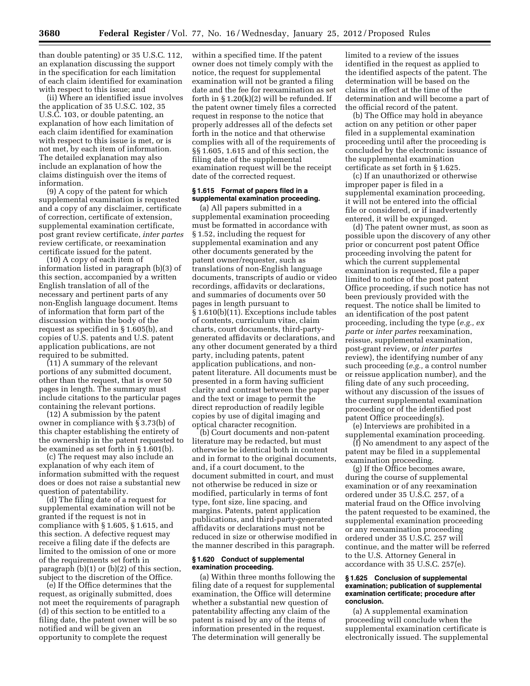than double patenting) or 35 U.S.C. 112, an explanation discussing the support in the specification for each limitation of each claim identified for examination with respect to this issue; and

(ii) Where an identified issue involves the application of 35 U.S.C. 102, 35 U.S.C. 103, or double patenting, an explanation of how each limitation of each claim identified for examination with respect to this issue is met, or is not met, by each item of information. The detailed explanation may also include an explanation of how the claims distinguish over the items of information.

(9) A copy of the patent for which supplemental examination is requested and a copy of any disclaimer, certificate of correction, certificate of extension, supplemental examination certificate, post grant review certificate, *inter partes*  review certificate, or reexamination certificate issued for the patent.

(10) A copy of each item of information listed in paragraph (b)(3) of this section, accompanied by a written English translation of all of the necessary and pertinent parts of any non-English language document. Items of information that form part of the discussion within the body of the request as specified in § 1.605(b), and copies of U.S. patents and U.S. patent application publications, are not required to be submitted.

(11) A summary of the relevant portions of any submitted document, other than the request, that is over 50 pages in length. The summary must include citations to the particular pages containing the relevant portions.

(12) A submission by the patent owner in compliance with § 3.73(b) of this chapter establishing the entirety of the ownership in the patent requested to be examined as set forth in § 1.601(b).

(c) The request may also include an explanation of why each item of information submitted with the request does or does not raise a substantial new question of patentability.

(d) The filing date of a request for supplemental examination will not be granted if the request is not in compliance with § 1.605, § 1.615, and this section. A defective request may receive a filing date if the defects are limited to the omission of one or more of the requirements set forth in paragraph (b)(1) or (b)(2) of this section, subject to the discretion of the Office.

(e) If the Office determines that the request, as originally submitted, does not meet the requirements of paragraph (d) of this section to be entitled to a filing date, the patent owner will be so notified and will be given an opportunity to complete the request

within a specified time. If the patent owner does not timely comply with the notice, the request for supplemental examination will not be granted a filing date and the fee for reexamination as set forth in  $\S 1.20(k)(2)$  will be refunded. If the patent owner timely files a corrected request in response to the notice that properly addresses all of the defects set forth in the notice and that otherwise complies with all of the requirements of §§ 1.605, 1.615 and of this section, the filing date of the supplemental examination request will be the receipt date of the corrected request.

### **§ 1.615 Format of papers filed in a supplemental examination proceeding.**

(a) All papers submitted in a supplemental examination proceeding must be formatted in accordance with § 1.52, including the request for supplemental examination and any other documents generated by the patent owner/requester, such as translations of non-English language documents, transcripts of audio or video recordings, affidavits or declarations, and summaries of documents over 50 pages in length pursuant to § 1.610(b)(11). Exceptions include tables of contents, curriculum vitae, claim charts, court documents, third-partygenerated affidavits or declarations, and any other document generated by a third party, including patents, patent application publications, and nonpatent literature. All documents must be presented in a form having sufficient clarity and contrast between the paper and the text or image to permit the direct reproduction of readily legible copies by use of digital imaging and optical character recognition.

(b) Court documents and non-patent literature may be redacted, but must otherwise be identical both in content and in format to the original documents, and, if a court document, to the document submitted in court, and must not otherwise be reduced in size or modified, particularly in terms of font type, font size, line spacing, and margins. Patents, patent application publications, and third-party-generated affidavits or declarations must not be reduced in size or otherwise modified in the manner described in this paragraph.

#### **§ 1.620 Conduct of supplemental examination proceeding.**

(a) Within three months following the filing date of a request for supplemental examination, the Office will determine whether a substantial new question of patentability affecting any claim of the patent is raised by any of the items of information presented in the request. The determination will generally be

limited to a review of the issues identified in the request as applied to the identified aspects of the patent. The determination will be based on the claims in effect at the time of the determination and will become a part of the official record of the patent.

(b) The Office may hold in abeyance action on any petition or other paper filed in a supplemental examination proceeding until after the proceeding is concluded by the electronic issuance of the supplemental examination certificate as set forth in § 1.625.

(c) If an unauthorized or otherwise improper paper is filed in a supplemental examination proceeding, it will not be entered into the official file or considered, or if inadvertently entered, it will be expunged.

(d) The patent owner must, as soon as possible upon the discovery of any other prior or concurrent post patent Office proceeding involving the patent for which the current supplemental examination is requested, file a paper limited to notice of the post patent Office proceeding, if such notice has not been previously provided with the request. The notice shall be limited to an identification of the post patent proceeding, including the type (*e.g., ex parte* or *inter partes* reexamination, reissue, supplemental examination, post-grant review, or *inter partes*  review), the identifying number of any such proceeding (*e.g.,* a control number or reissue application number), and the filing date of any such proceeding, without any discussion of the issues of the current supplemental examination proceeding or of the identified post patent Office proceeding(s).

(e) Interviews are prohibited in a supplemental examination proceeding.

(f) No amendment to any aspect of the patent may be filed in a supplemental examination proceeding.

(g) If the Office becomes aware, during the course of supplemental examination or of any reexamination ordered under 35 U.S.C. 257, of a material fraud on the Office involving the patent requested to be examined, the supplemental examination proceeding or any reexamination proceeding ordered under 35 U.S.C. 257 will continue, and the matter will be referred to the U.S. Attorney General in accordance with 35 U.S.C. 257(e).

### **§ 1.625 Conclusion of supplemental examination; publication of supplemental examination certificate; procedure after conclusion.**

(a) A supplemental examination proceeding will conclude when the supplemental examination certificate is electronically issued. The supplemental